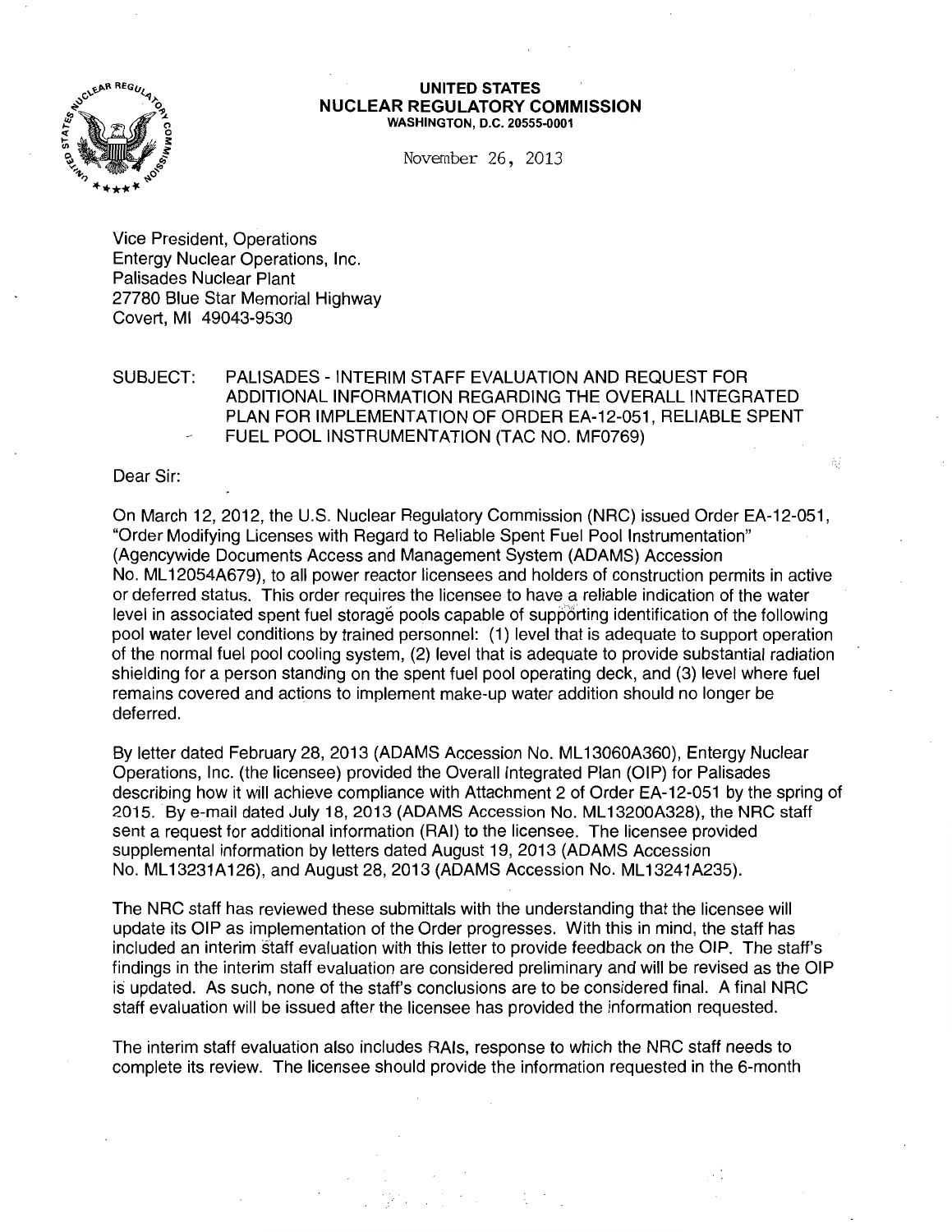

#### **UNITED STATES NUCLEAR REGULATORY COMMISSION**  WASHINGTON, D.C. 20555-0001

November 26, 2013

Vice President, Operations Entergy Nuclear Operations, Inc. Palisades Nuclear Plant 27780 Blue Star Memorial Highway Covert, Ml 49043-9530

SUBJECT: PALISADES -INTERIM STAFF EVALUATION AND REQUEST FOR ADDITIONAL INFORMATION REGARDING THE OVERALL INTEGRATED PLAN FOR IMPLEMENTATION OF ORDER EA-12-051, RELIABLE SPENT FUEL POOL INSTRUMENTATION (TAC NO. MF0769)

Dear Sir:

On March 12,2012, the U.S. Nuclear Regulatory Commission (NRC) issued Order EA-12-051, "Order Modifying Licenses with Regard to Reliable Spent Fuel Pool Instrumentation" (Agencywide Documents Access and Management System (ADAMS) Accession No. ML 12054A679), to all power reactor licensees and holders of construction permits in active or deferred status. This order requires the licensee to have a reliable indication of the water level in associated spent fuel storage pools capable of supporting identification of the following pool water level conditions by trained personnel: (1) level that is adequate to support operation of the normal fuel pool cooling system, (2) level that is adequate to provide substantial radiation shielding for a person standing on the spent fuel pool operating deck, and (3) level where fuel remains covered and actions to implement make-up water addition should no longer be deferred.

By letter dated February 28, 2013 (ADAMS Accession No. ML 13060A360), Entergy Nuclear Operations, Inc. (the licensee) provided the Overall Integrated Plan (OIP) for Palisades describing how it will achieve compliance with Attachment 2 of Order EA-12-051 by the spring of 2015. By e-mail dated July 18, 2013 (ADAMS Accession No. ML 13200A328), the NRC staff sent a request for additional information (RAI) to the licensee. The licensee provided supplemental information by letters dated August 19, 2013 (ADAMS Accession No. ML13231A126), and August 28, 2013 (ADAMS Accession No. ML13241A235).

The NRC staff has reviewed these submittals with the understanding that the licensee will update its OIP as implementation of the Order progresses. With this in mind, the staff has included an interim staff evaluation with this letter to provide feedback on the OIP. The staff's findings in the interim staff evaluation are considered preliminary and will be revised as the OIP is updated. As such, none of the staff's conclusions are to be considered final. A final NRC staff evaluation will be issued after the licensee has provided the information requested.

The interim staff evaluation also includes RAis, response to which the NRC staff needs to complete its review. The licensee should provide the information requested in the 6-month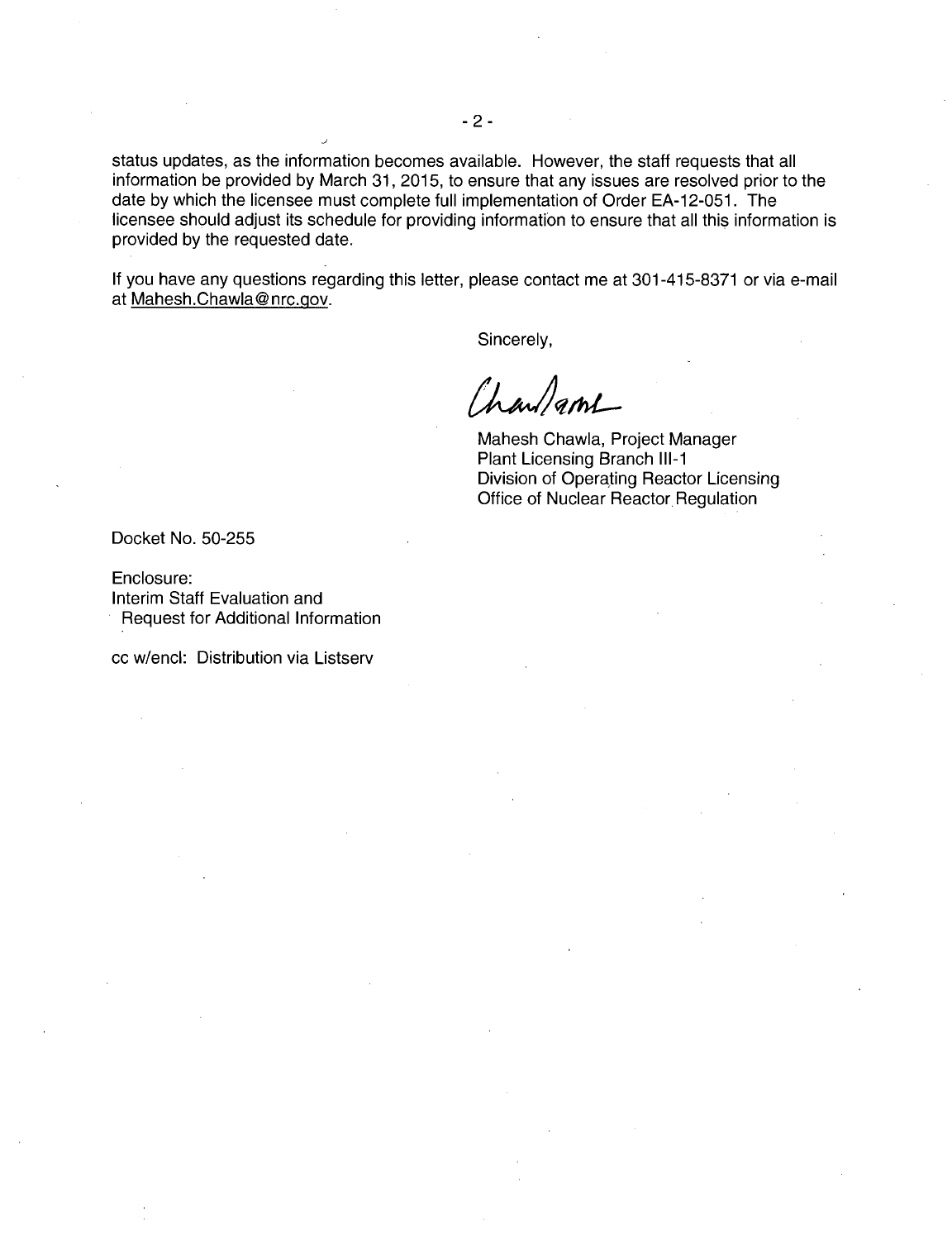status updates, as the information becomes available. However, the staff requests that all information be provided by March 31, 2015, to ensure that any issues are resolved prior to the date by which the licensee must complete full implementation of Order EA-12-051. The licensee should adjust its schedule for providing information to ensure that all this information is provided by the requested date.

If you have any questions regarding this letter, please contact me at 301-415-8371 or via e-mail at Mahesh.Chawla@nrc.gov.

Sincerely,

Charlant

Mahesh Chawla, Project Manager Plant Licensing Branch **111-1**  Division of Operating Reactor Licensing Office of Nuclear Reactor Regulation

Docket No. 50-255

Enclosure: Interim Staff Evaluation and Request for Additional Information

cc w/encl: Distribution via Listserv

J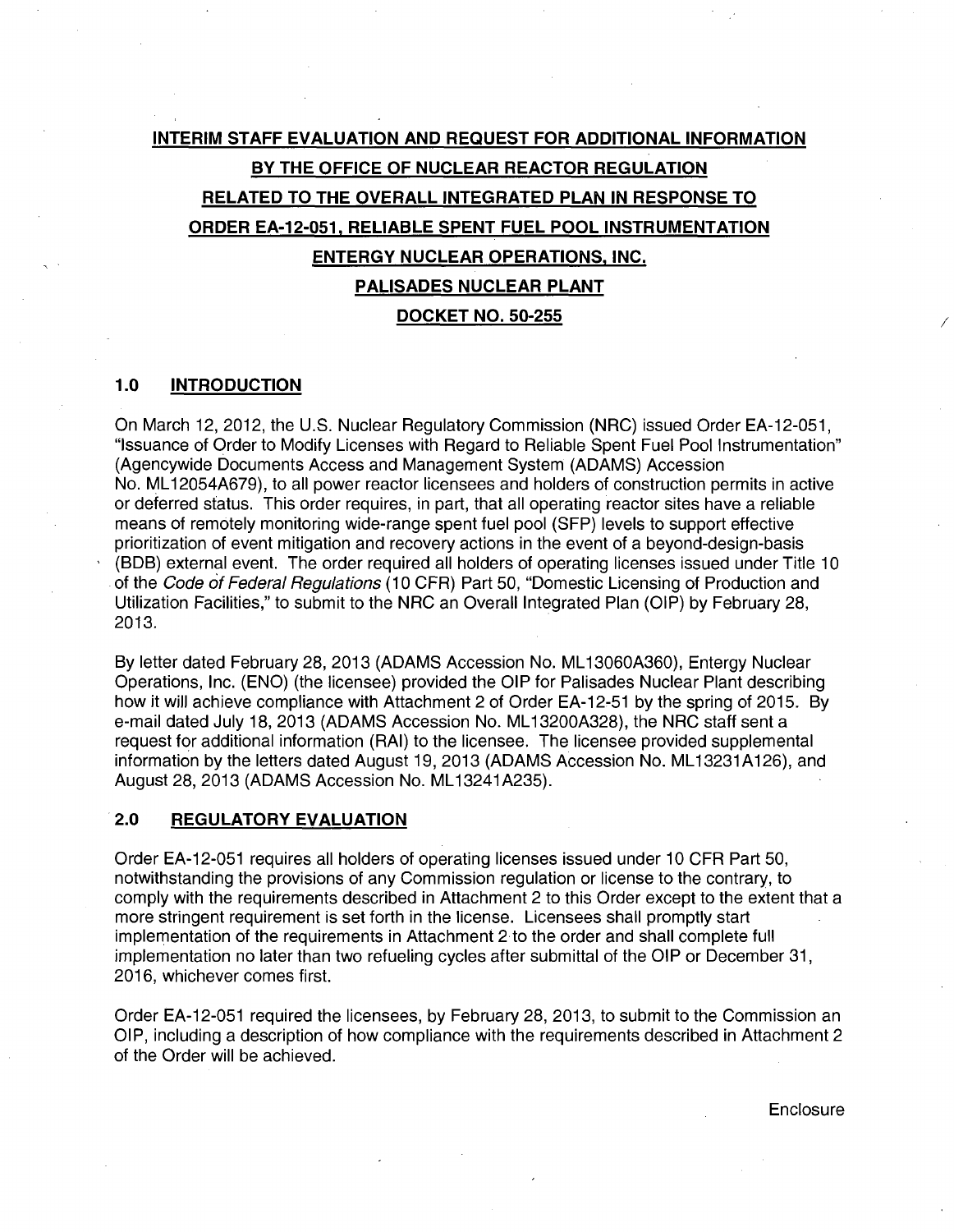# **INTERIM STAFF EVALUATION AND REQUEST FOR ADDITIONAL INFORMATION BY THE OFFICE OF NUCLEAR REACTOR REGULATION RELATED TO THE OVERALL INTEGRATED PLAN IN RESPONSE TO ORDER EA-12-051, RELIABLE SPENT FUEL POOL INSTRUMENTATION ENTERGY NUCLEAR OPERATIONS, INC. PALISADES NUCLEAR PLANT DOCKET NO. 50-255**

# **1.0 INTRODUCTION**

On March 12, 2012, the U.S. Nuclear Regulatory Commission (NRC) issued Order EA-12-051, "Issuance of Order to Modify Licenses with Regard to Reliable Spent Fuel Pool Instrumentation" (Agencywide Documents Access and Management System (ADAMS) Accession No. ML12054A679), to all power reactor licensees and holders of construction permits in active or deferred status. This order requires, in part, that all operating reactor sites have a reliable means of remotely monitoring wide-range spent fuel pool (SFP) levels to support effective prioritization of event mitigation and recovery actions in the event of a beyond-design-basis (BOB) external event. The order required all holders of operating licenses issued under Title 10 of the Code of Federal Regulations (10 CFR) Part 50, "Domestic Licensing of Production and Utilization Facilities," to submit to the NRC an Overall Integrated Plan (OIP) by February 28, 2013.

By letter dated February 28, 2013 (ADAMS Accession No. ML 13060A360), Entergy Nuclear Operations, Inc. (ENO) (the licensee) provided the OIP for Palisades Nuclear Plant describing how it will achieve compliance with Attachment 2 of Order EA-12-51 by the spring of 2015. By e-mail dated July 18, 2013 (ADAMS Accession No. ML 13200A328), the NRC staff sent a request for additional information (RAI) to the licensee. The licensee provided supplemental information by the letters dated August 19, 2013 (ADAMS Accession No. ML13231A126), and August 28, 2013 (ADAMS Accession No. ML 13241 A235).

# **2.0 REGULATORY EVALUATION**

Order EA-12-051 requires all holders of operating licenses issued under 10 CFR Part 50, notwithstanding the provisions of any Commission regulation or license to the contrary, to comply with the requirements described in Attachment 2 to this Order except to the extent that a more stringent requirement is set forth in the license. Licensees shall promptly start implementation of the requirements in Attachment 2 to the order and shall complete full implementation no later than two refueling cycles after submittal of the OIP or December 31, 2016, whichever comes first.

Order EA-12-051 required the licensees, by February 28, 2013, to submit to the Commission an OIP, including a description of how compliance with the requirements described in Attachment 2 of the Order will be achieved.

**Enclosure** 

I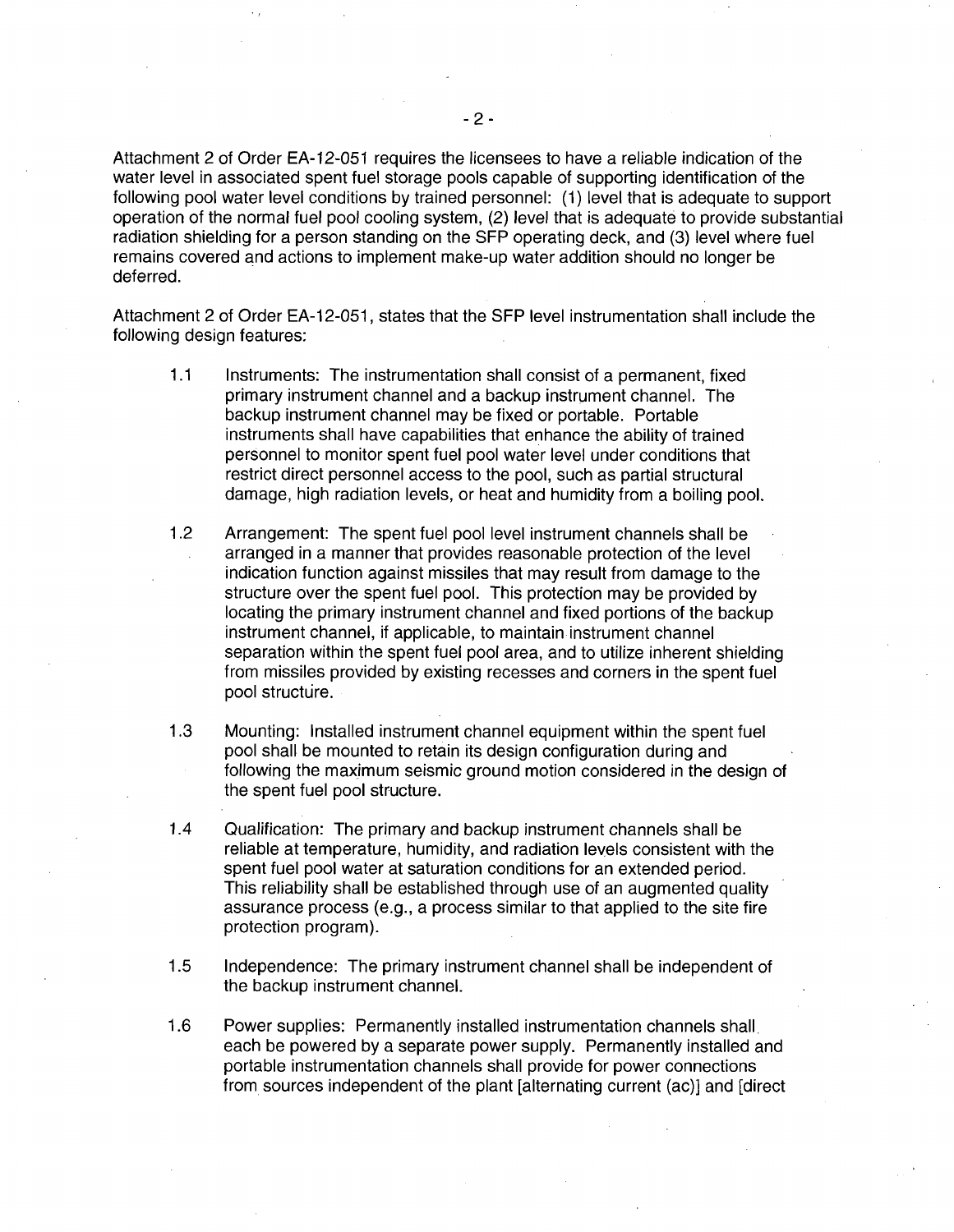Attachment 2 of Order EA-12-051 requires the licensees to have a reliable indication of the water level in associated spent fuel storage pools capable of supporting identification of the following pool water level conditions by trained personnel: (1) level that is adequate to support operation of the normal fuel pool cooling system, (2) level that is adequate to provide substantial radiation shielding for a person standing on the SFP operating deck, and (3) level where fuel remains covered and actions to implement make-up water addition should no longer be deferred.

Attachment 2 of Order EA-12-051, states that the SFP level instrumentation shall include the following design features:

- 1.1 Instruments: The instrumentation shall consist of a permanent, fixed primary instrument channel and a backup instrument channel. The backup instrument channel may be fixed or portable. Portable instruments shall have capabilities that enhance the ability of trained personnel to monitor spent fuel pool water level under conditions that restrict direct personnel access to the pool, such as partial structural damage, high radiation levels, or heat and humidity from a boiling pool.
- 1.2 Arrangement: The spent fuel pool level instrument channels shall be arranged in a manner that provides reasonable protection of the level indication function against missiles that may result from damage to the structure over the spent fuel pool. This protection may be provided by locating the primary instrument channel and fixed portions of the backup instrument channel, if applicable, to maintain instrument channel separation within the spent fuel pool area, and to utilize inherent shielding from missiles provided by existing recesses and corners in the spent fuel pool structure.
- 1.3 Mounting: Installed instrument channel equipment within the spent fuel pool shall be mounted to retain its design configuration during and following the maximum seismic ground motion considered in the design of the spent fuel pool structure.
- 1.4 Qualification: The primary and backup instrument channels shall be reliable at temperature, humidity, and radiation levels consistent with the spent fuel pool water at saturation conditions for an extended period. This reliability shall be established through use of an augmented quality assurance process (e.g., a process similar to that applied to the site fire protection program).
- 1.5 Independence: The primary instrument channel shall be independent of the backup instrument channel.
- 1.6 Power supplies: Permanently installed instrumentation channels shall. each be powered by a separate power supply. Permanently installed and portable instrumentation channels shall provide for power connections from sources independent of the plant [alternating current (ac)] and [direct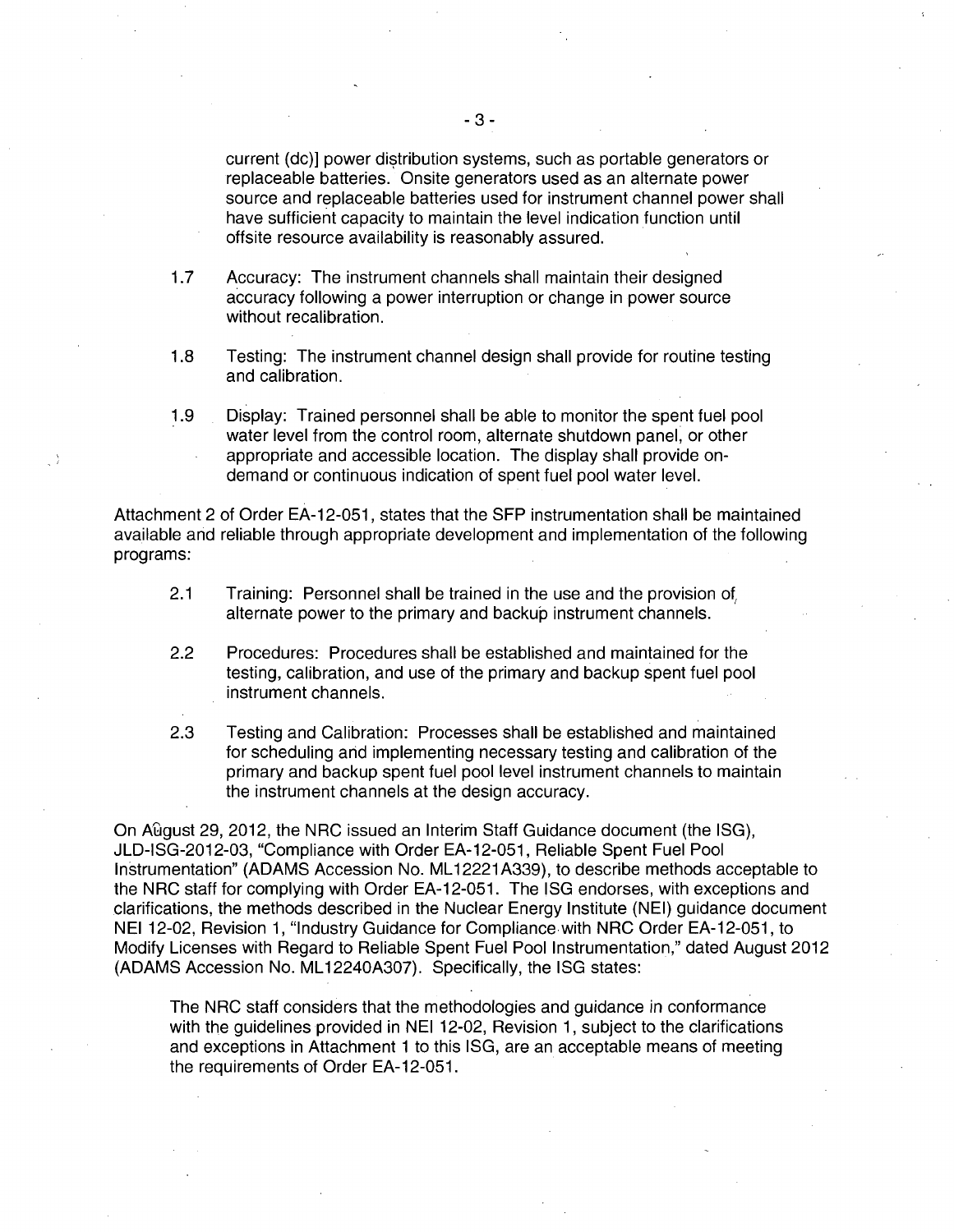current (dc)] power distribution systems, such as portable generators or replaceable batteries. Onsite generators used as an alternate power source and replaceable batteries used for instrument channel power shall have sufficient capacity to maintain the level indication function until offsite resource availability is reasonably assured.

- 1.7 Accuracy: The instrument channels shall maintain their designed accuracy following a power interruption or change in power source without recalibration.
- 1.8 Testing: The instrument channel design shall provide for routine testing and calibration.
- 1.9 Display: Trained personnel shall be able to monitor the spent fuel pool water level from the control room, alternate shutdown panel, or other appropriate and accessible location. The display shall provide ondemand or continuous indication of spent fuel pool water level.

Attachment 2 of Order EA-12-051, states that the SFP instrumentation shall be maintained available and reliable through appropriate development and implementation of the following programs:

- 2.1 Training: Personnel shall be trained in the use and the provision of alternate power to the primary and backup instrument channels.
- 2.2 Procedures: Procedures shall be established and maintained for the testing, calibration, and use of the primary and backup spent fuel pool instrument channels.
- 2.3 Testing and Calibration: Processes shall be established and maintained for scheduling arid implementing necessary testing and calibration of the primary and backup spent fuel pool level instrument channels to maintain the instrument channels at the design accuracy.

On A£lgust 29, 2012, the NRC issued an Interim Staff Guidance document (the ISG), JLD-ISG-2012-03, "Compliance with Order EA-12-051, Reliable Spent Fuel Pool Instrumentation" (ADAMS Accession No. ML 12221A339), to describe methods acceptable to the NRC staff for complying with Order EA-12-051. The ISG endorses, with exceptions and clarifications, the methods described in the Nuclear Energy Institute (NEI) guidance document NEI 12-02, Revision 1, "Industry Guidance for Compliance with NRC Order EA-12-051, to Modify Licenses with Regard to Reliable Spent Fuel Pool Instrumentation," dated August 2012 (ADAMS Accession No. ML 12240A307). Specifically, the ISG states:

The NRC staff considers that the methodologies and guidance in conformance with the guidelines provided in NEI 12-02, Revision 1, subject to the clarifications and exceptions in Attachment 1 to this ISG, are an acceptable means of meeting the requirements of Order EA-12-051.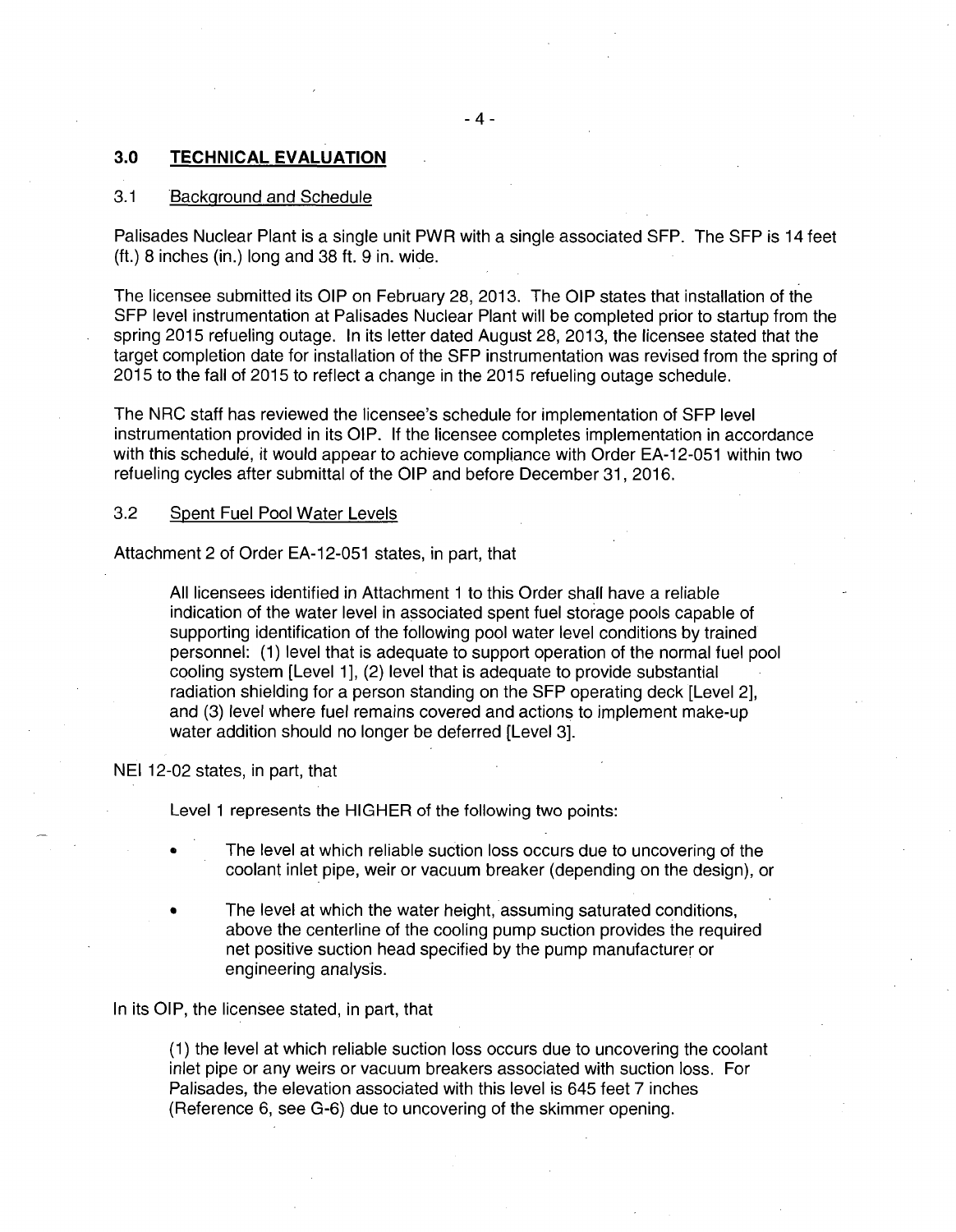# 3.0 **TECHNICAL EVALUATION**

# 3.1 Background and Schedule

Palisades Nuclear Plant is a single unit PWR with a single associated SFP. The SFP is 14 feet  $(ft.)$  8 inches  $(in.)$  long and 38 ft. 9 in. wide.

The licensee submitted its OIP on February 28, 2013. The OIP states that installation of the SFP level instrumentation at Palisades Nuclear Plant will be completed prior to startup from the spring 2015 refueling outage. In its letter dated August 28, 2013, the licensee stated that the target completion date for installation of the SFP instrumentation was revised from the spring of 2015 to the fall of 2015 to reflect a change in the 2015 refueling outage schedule.

The NRC staff has reviewed the licensee's schedule for implementation of SFP level instrumentation provided in its OIP. If the licensee completes implementation in accordance with this schedule, it would appear to achieve compliance with Order EA-12-051 within two refueling cycles after submittal of the OIP and before December 31, 2016.

# 3.2 Spent Fuel Pool Water Levels

Attachment 2 of Order EA-12-051 states, in part, that

All licensees identified in Attachment 1 to this Order shall have a reliable indication of the water level in associated spent fuel storage pools capable of supporting identification of the following pool water level conditions by trained personnel: (1) level that is adequate to support operation of the normal fuel pool cooling system [Level 1], (2) level that is adequate to provide substantial radiation shielding for a person standing on the SFP operating deck [Level 2], and (3) level where fuel remains covered and actions to implement make-up water addition should no longer be deferred [Level 3].

NEI 12-02 states, in part, that

Level 1 represents the HIGHER of the following two points:

- The level at which reliable suction loss occurs due to uncovering of the coolant inlet pipe, weir or vacuum breaker (depending on the design), or
- The level at which the water height, assuming saturated conditions, above the centerline of the cooling pump suction provides the required net positive suction head specified by the pump manufacturer or engineering analysis.

In its OIP, the licensee stated, in part, that

(1) the level at which reliable suction loss occurs due to uncovering the coolant inlet pipe or any weirs or vacuum breakers associated with suction loss. For Palisades, the elevation associated with this level is 645 feet 7 inches (Reference 6, see G-6) due to uncovering of the skimmer opening.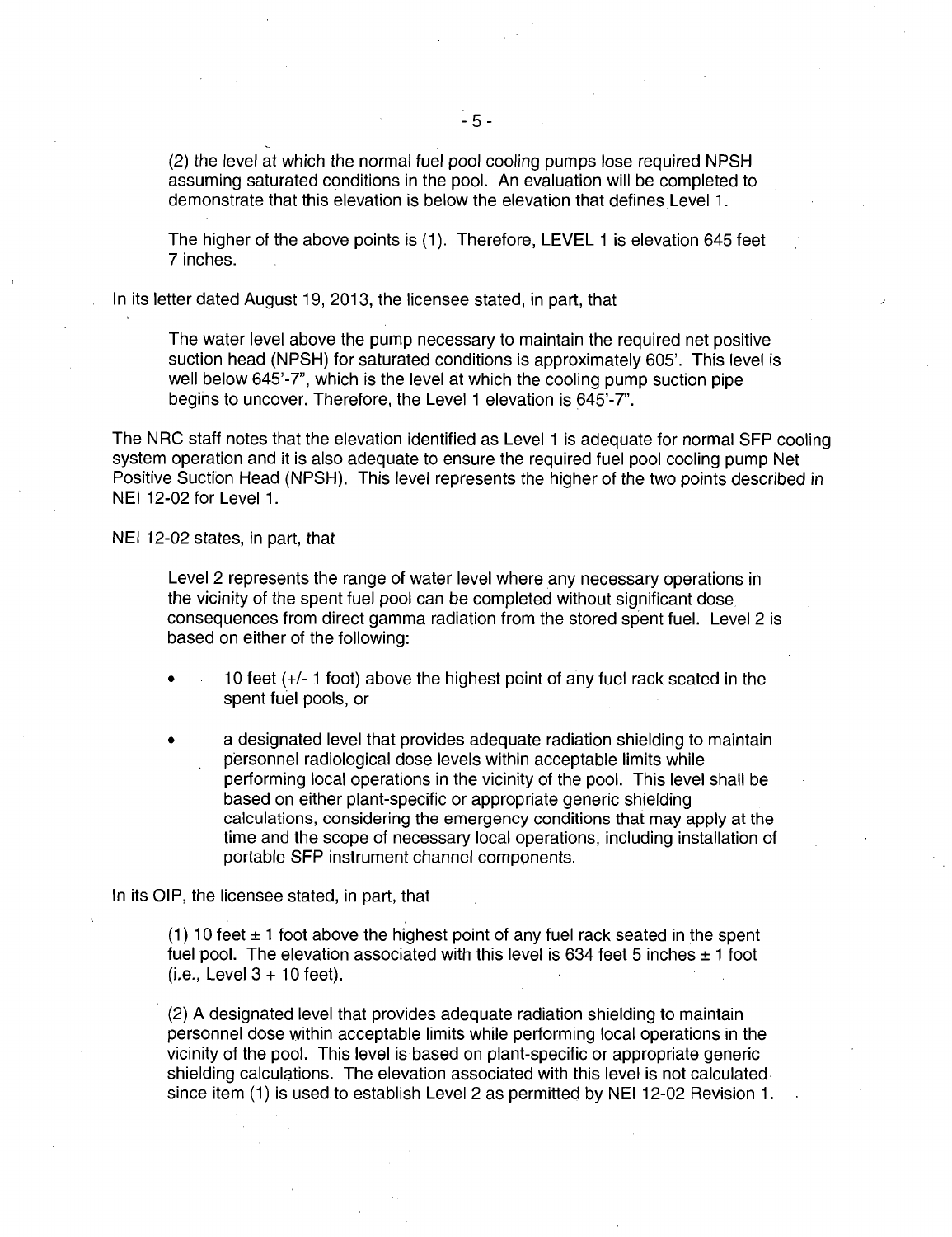(2) the level at which the normal fuel pool cooling pumps lose required NPSH assuming saturated conditions in the pool. An evaluation will be completed to demonstrate that this elevation is below the elevation that defines Level 1.

The higher of the above points is (1 ). Therefore, LEVEL 1 is elevation 645 feet 7 inches.

In its letter dated August 19, 2013, the licensee stated, in part, that

The water level above the pump necessary to maintain the required net positive suction head (NPSH) for saturated conditions is approximately 605'. This level is well below 645'-7", which is the level at which the cooling pump suction pipe begins to uncover. Therefore, the Level 1 elevation is 645'-7".

The NRC staff notes that the elevation identified as Level 1 is adequate for normal SFP cooling system operation and it is also adequate to ensure the required fuel pool cooling pump Net Positive Suction Head (NPSH). This level represents the higher of the two points described in NEI 12-02 for Level 1.

NEI 12-02 states, in part, that

Level 2 represents the range of water level where any necessary operations in the vicinity of the spent fuel pool can be completed without significant dose consequences from direct gamma radiation from the stored spent fuel. Level 2 is based on either of the following:

- 10 feet  $(+/- 1$  foot) above the highest point of any fuel rack seated in the spent fuel pools, or
- a designated level that provides adequate radiation shielding to maintain personnel radiological dose levels within acceptable limits while performing local operations in the vicinity of the pool. This level shall be based on either plant-specific or appropriate generic shielding calculations, considering the emergency conditions that may apply at the time and the scope of necessary local operations, including installation of portable SFP instrument channel components.

In its OIP, the licensee stated, in part, that

(1) 10 feet  $\pm$  1 foot above the highest point of any fuel rack seated in the spent fuel pool. The elevation associated with this level is 634 feet 5 inches  $\pm$  1 foot (i.e., Level 3 + 10 feet).

· (2) A designated level that provides adequate radiation shielding to maintain personnel dose within acceptable limits while performing local operations in the vicinity of the pool. This level is based on plant-specific or appropriate generic shielding calculations. The elevation associated with this level is not calculated since item {1) is used to establish Level 2 as permitted by NEI 12-02 Revision 1.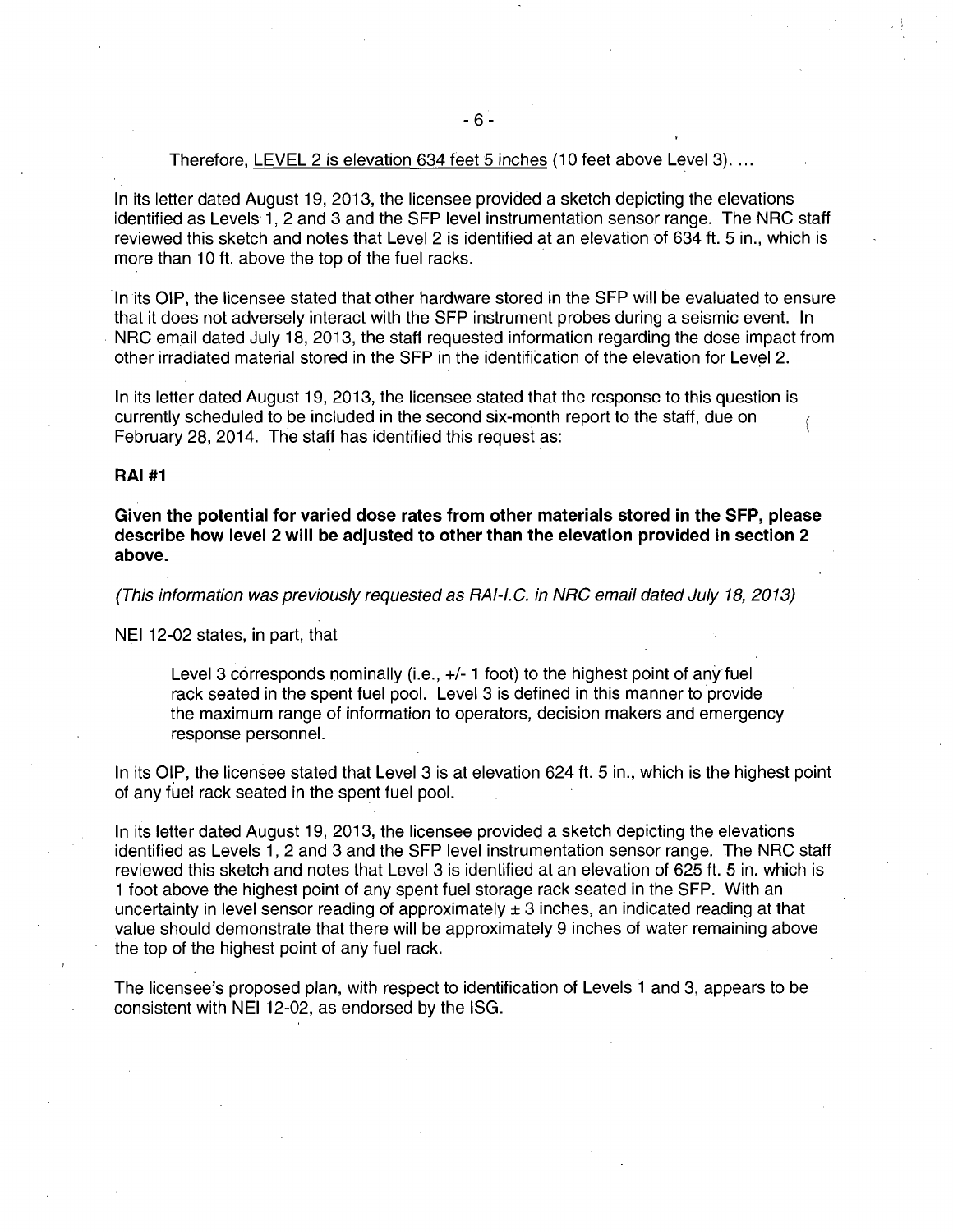#### Therefore, LEVEL 2 is elevation 634 feet 5 inches (10 feet above Level 3)...

In its letter dated August 19, 2013, the licensee provided a sketch depicting the elevations identified as Levels 1, 2 and 3 and the SFP level instrumentation sensor range. The NRC staff reviewed this sketch and notes that Level 2 is identified at an elevation of 634 ft. 5 in., which is more than 10 ft. above the top of the fuel racks.

In its OIP, the licensee stated that other hardware stored in the SFP will be evaluated to ensure that it does not adversely interact with the SFP instrument probes during a seismic event. In NRC email dated July 18, 2013, the staff requested information regarding the dose impact from other irradiated material stored in the SFP in the identification of the elevation for Level 2.

In its letter dated August 19, 2013, the licensee stated that the response to this question is currently scheduled to be included in the second six-month report to the staff, due on February 28, 2014. The staff has identified this request as:

# **RAI #1**

**Given the potential for varied dose rates from other materials stored in the SFP, please describe how level 2 will be adjusted to other than the elevation provided in section 2 above.** 

(This information was previously requested as RAI-l. C. in NRC email dated July 18, 2013)

NEI 12-02 states, in part, that

Level 3 corresponds nominally (i.e.,  $+/-1$  foot) to the highest point of any fuel rack seated in the spent fuel pool. Level 3 is defined in this manner to provide the maximum range of information to operators, decision makers and emergency response personnel.

In its OIP, the licensee stated that Level 3 is at elevation 624 ft. 5 in., which is the highest point of any fuel rack seated in the spent fuel pool.

In its letter dated August 19, 2013, the licensee provided a sketch depicting the elevations identified as Levels 1, 2 and 3 and the SFP level instrumentation sensor range. The NRC staff reviewed this sketch and notes that Level 3 is identified at an elevation of 625 ft. 5 in. which is 1 foot above the highest point of any spent fuel storage rack seated in the SFP. With an uncertainty in level sensor reading of approximately  $\pm 3$  inches, an indicated reading at that value should demonstrate that there will be approximately 9 inches of water remaining above the top of the highest point of any fuel rack.

The licensee's proposed plan, with respect to identification of Levels 1 and 3, appears to be consistent with NEI 12-02, as endorsed by the ISG.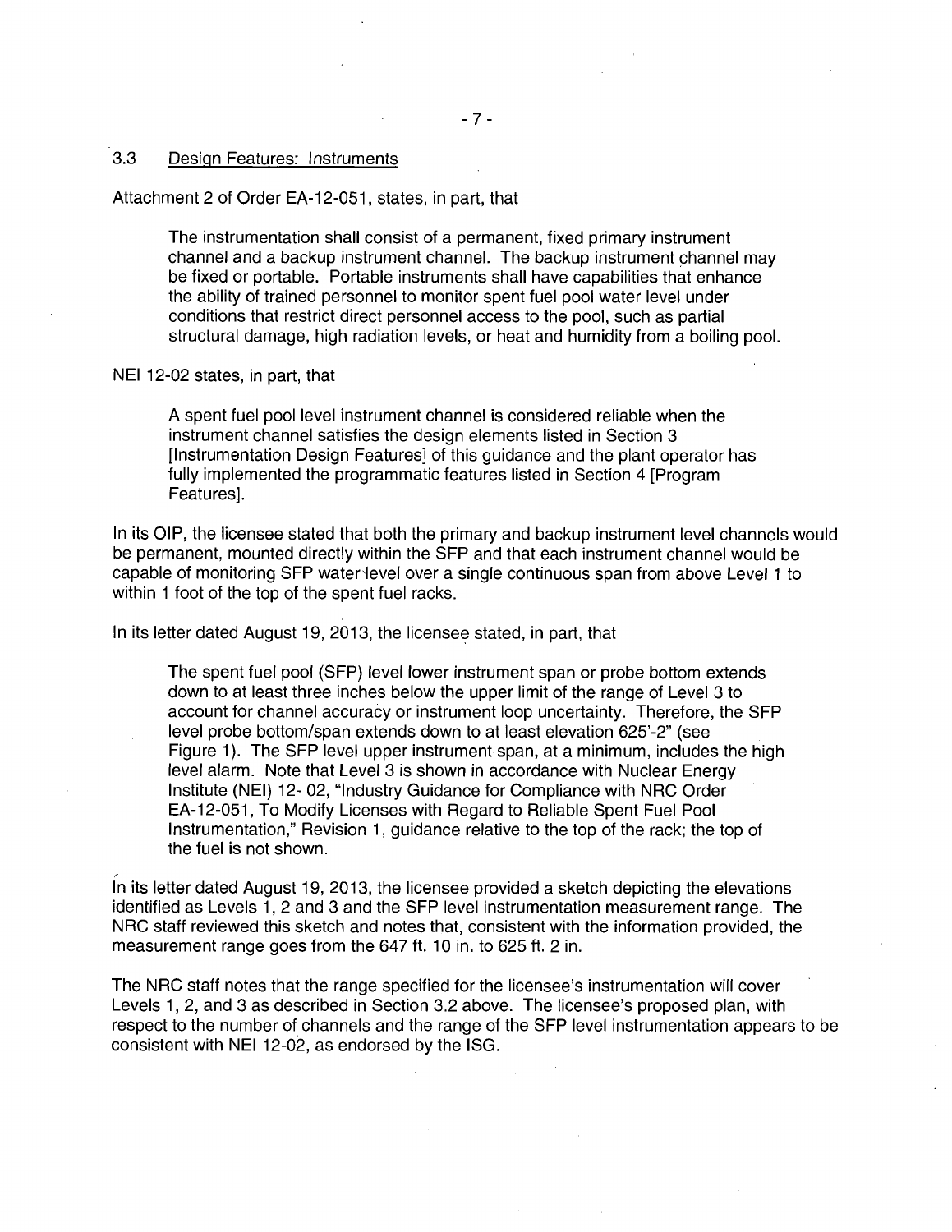# 3.3 Design Features: Instruments

Attachment 2 of Order EA-12-051, states, in part, that

The instrumentation shall consist of a permanent, fixed primary instrument channel and a backup instrument channel. The backup instrument channel may be fixed or portable. Portable instruments shall have capabilities that enhance the ability of trained personnel to monitor spent fuel pool water level under conditions that restrict direct personnel access to the pool, such as partial structural damage, high radiation levels, or heat and humidity from a boiling pool.

#### NEI 12-02 states, in part, that

A spent fuel pool level instrument channel is considered reliable when the instrument channel satisfies the design elements listed in Section 3 [Instrumentation Design Features] of this guidance and the plant operator has fully implemented the programmatic features listed in Section 4 [Program Features].

In its OIP, the licensee stated that both the primary and backup instrument level channels would be permanent, mounted directly within the SFP and that each instrument channel would be capable of monitoring SFP water'level over a single continuous span from above Level 1 to within 1 foot of the top of the spent fuel racks.

In its letter dated August 19, 2013, the licensee stated, in part, that

The spent fuel pool (SFP) level lower instrument span or probe bottom extends down to at least three inches below the upper limit of the range of Level 3 to account for channel accuracy or instrument loop uncertainty. Therefore, the SFP level probe bottom/span extends down to at least elevation 625'-2" (see Figure 1). The SFP level upper instrument span, at a minimum, includes the high level alarm. Note that Level 3 is shown in accordance with Nuclear Energy. Institute (NEI) 12- 02, "Industry Guidance for Compliance with NRC Order EA-12-051, To Modify Licenses with Regard to Reliable Spent Fuel Pool Instrumentation," Revision 1, guidance relative to the top of the rack; the top of the fuel is not shown.

In its letter dated August 19, 2013, the licensee provided a sketch depicting the elevations identified as Levels 1, 2 and 3 and the SFP level instrumentation measurement range. The NRC staff reviewed this sketch and notes that, consistent with the information provided, the measurement range goes from the 647 ft. 10 in. to 625 ft. 2 in.

The NRC staff notes that the range specified for the licensee's instrumentation will cover Levels 1, 2, and 3 as described in Section 3.2 above. The licensee's proposed plan, with respect to the number of channels and the range of the SFP level instrumentation appears to be consistent with NEI 12-02, as endorsed by the ISG.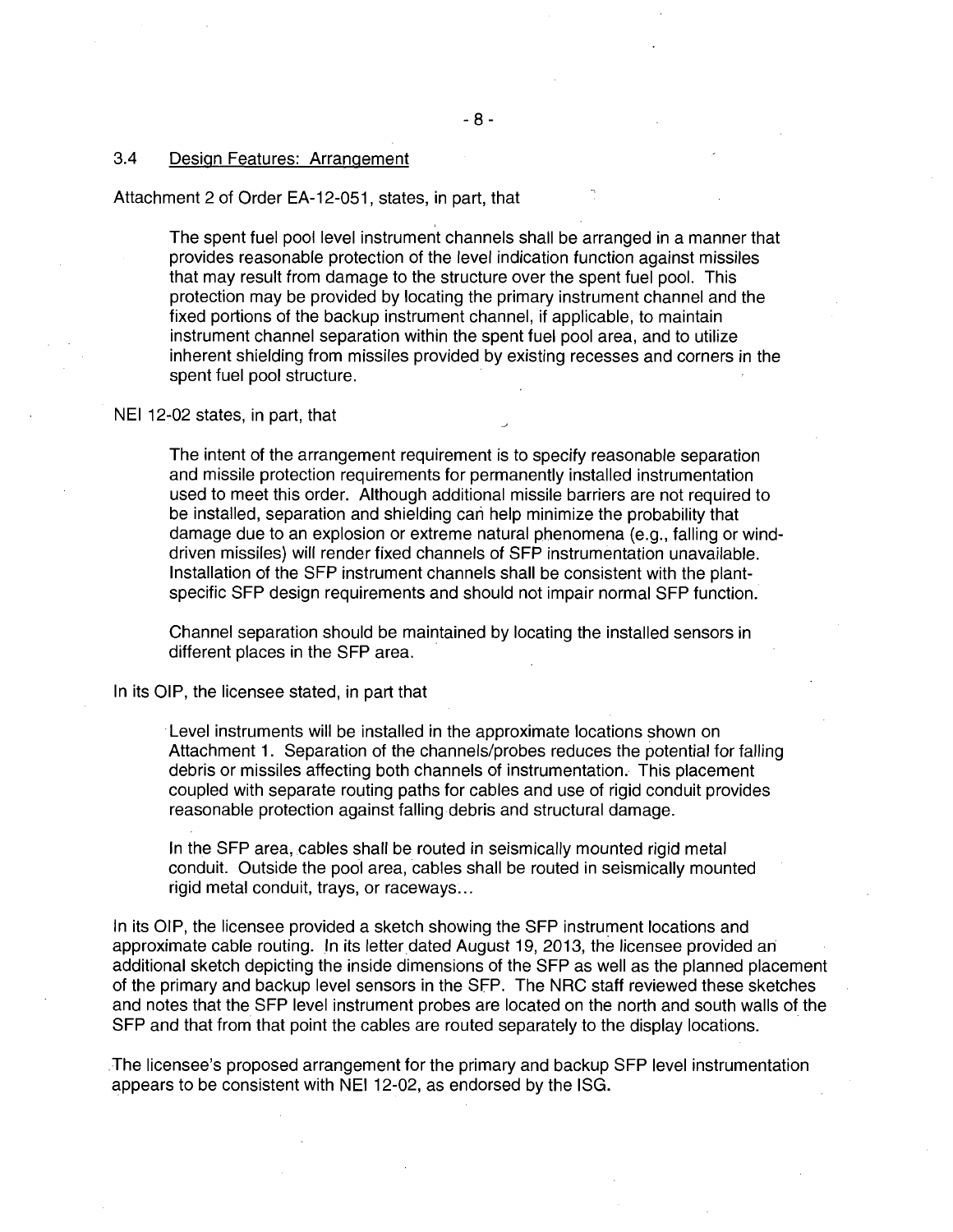# 3.4 Design Features: Arrangement

#### Attachment 2 of Order EA-12-051, states, in part, that

The spent fuel pool level instrument channels shall be arranged in a manner that provides reasonable protection of the level indication function against missiles that may result from damage to the structure over the spent fuel pool. This protection may be provided by locating the primary instrument channel and the fixed portions of the backup instrument channel, if applicable, to maintain instrument channel separation within the spent fuel pool area, and to utilize inherent shielding from missiles provided by existing recesses and corners in the spent fuel pool structure.

#### NEI 12-02 states, in part, that

The intent of the arrangement requirement is to specify reasonable separation and missile protection requirements for permanently installed instrumentation used to meet this order. Although additional missile barriers are not required to be installed, separation and shielding cari help minimize the probability that damage due to an explosion or extreme natural phenomena (e.g., falling or winddriven missiles) will render fixed channels of SFP instrumentation unavailable. Installation of the SFP instrument channels shall be consistent with the plantspecific SFP design requirements and should not impair normal SFP function.

Channel separation should be maintained by locating the installed sensors in different places in the SFP area.

In its OIP, the licensee stated, in part that

Level instruments will be installed in the approximate locations shown on Attachment 1. Separation of the channels/probes reduces the potential for falling debris or missiles affecting both channels of instrumentation. This placement coupled with separate routing paths for cables and use of rigid conduit provides reasonable protection against falling debris and structural damage.

In the SFP area, cables shall be routed in seismically mounted rigid metal conduit. Outside the pool area, cables shall be routed in seismically mounted rigid metal conduit, trays, or raceways ...

In its OIP, the licensee provided a sketch showing the SFP instrument locations and approximate cable routing. In its letter dated August 19, 2013, the licensee provided an additional sketch depicting the inside dimensions of the SFP as well as the planned placement of the primary and backup level sensors in the SFP. The NRC staff reviewed these sketches and notes that the SFP level instrument probes are located on the north and south walls of the SFP and that from that point the cables are routed separately to the display locations .

.The licensee's proposed arrangement for the primary and backup SFP level instrumentation appears to be consistent with NEI 12-02, as endorsed by the ISG.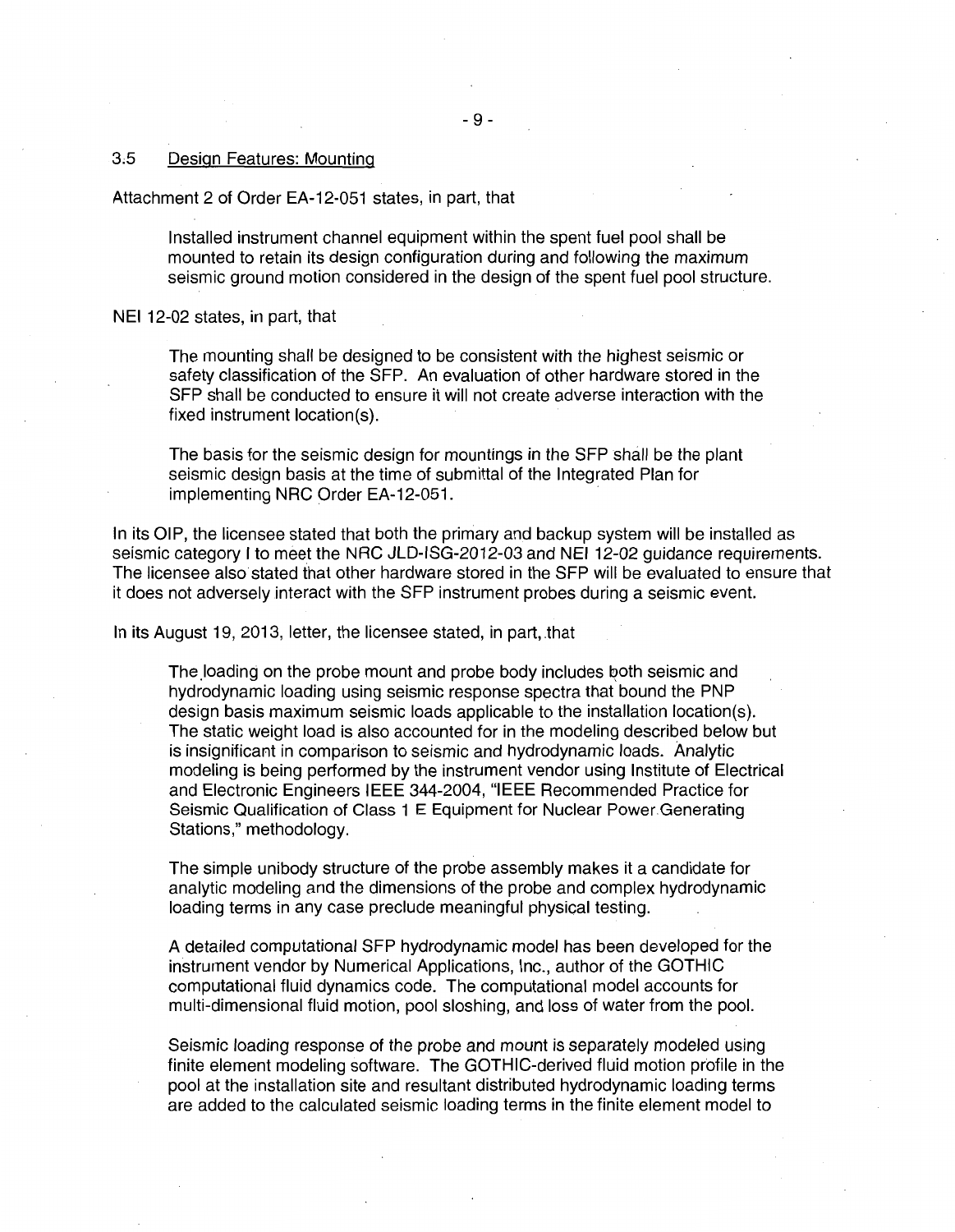#### 3,5 Design Features: Mounting

Attachment 2 of Order EA-12-051 states, in part, that

Installed instrument channel equipment within the spent fuel pool shall be mounted to retain its design configuration during and following the maximum seismic ground motion considered in the design of the spent fuel pool structure.

NEI 12-02 states, in part, that

The mounting shall be designed to be consistent with the highest seismic or safety classification of the SFP. An evaluation of other hardware stored in the SFP shall be conducted to ensure it will not create adverse interaction with the fixed instrument location(s).

The basis for the seismic design for mountings in the SFP shall be the plant seismic design basis at the time of submittal of the Integrated Plan for implementing NRC Order EA-12-051.

In its OIP, the licensee stated that both the primary and backup system will be installed as seismic category I to meet the NRC JLD-ISG-2012-03 and NEI 12-02 guidance requirements. The licensee also stated that other hardware stored in the SFP will be evaluated to ensure that it does not adversely interact with the SFP instrument probes during a seismic event.

In its August 19, 2013, letter, the licensee stated, in part, .that

The loading on the probe mount and probe body includes both seismic and hydrodynamic loading using seismic response spectra that bound the PNP design basis maximum seismic loads applicable to the installation location(s). The static weight load is also accounted for in the modeling described below but is insignificant in comparison to seismic and hydrodynamic loads. Analytic modeling is being performed by the instrument vendor using Institute of Electrical and Electronic Engineers IEEE 344-2004, "IEEE Recommended Practice for Seismic Qualification of Class 1 E Equipment for Nuclear Power Generating Stations," methodology.

The simple unibody structure of the probe assembly makes it a candidate for analytic modeling and the dimensions of the probe and complex hydrodynamic loading terms in any case preclude meaningful physical testing.

A detailed computational SFP hydrodynamic model has been developed for the instrument vendor by Numerical Applications, Inc., author of the GOTHIC computational fluid dynamics code. The computational model accounts for multi-dimensional fluid motion, pool sloshing, and loss of water from the pool.

Seismic loading response of the probe and mount is separately modeled using finite element modeling software. The GOTHIC-derived fluid motion profile in the pool at the installation site and resultant distributed hydrodynamic loading terms are added to the calculated seismic loading terms in the finite element model to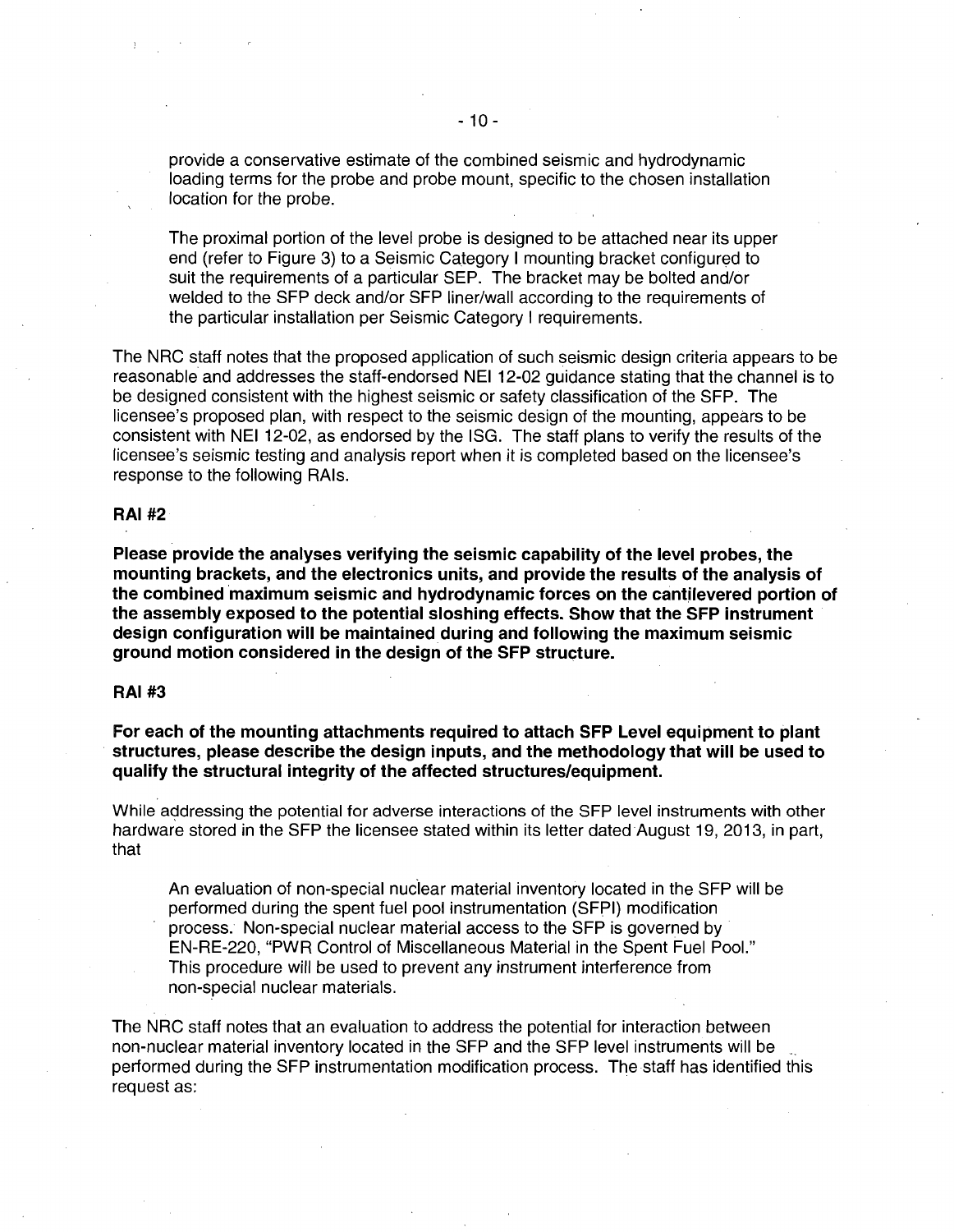provide a conservative estimate of the combined seismic and hydrodynamic loading terms for the probe and probe mount, specific to the chosen installation location for the probe.

The proximal portion of the level probe is designed to be attached near its upper end (refer to Figure 3) to a Seismic Category I mounting bracket configured to suit the requirements of a particular SEP. The bracket may be bolted and/or welded to the SFP deck and/or SFP liner/wall according to the requirements of the particular installation per Seismic Category I requirements.

The NRC staff notes that the proposed application of such seismic design criteria appears to be reasonable and addresses the staff-endorsed NEI 12-02 guidance stating that the channel is to be designed consistent with the highest seismic or safety classification of the SFP. The licensee's proposed plan, with respect to the seismic design of the mounting, appears to be consistent with NEI 12-02, as endorsed by the ISG. The staff plans to verify the results of the licensee's seismic testing and analysis report when it is completed based on the licensee's response to the following RAis.

#### **RAI#2**

**Please provide the analyses verifying the seismic capability of the level probes, the mounting brackets, and the electronics units, and provide the results of the analysis of**  the combined maximum seismic and hydrodynamic forces on the cantilevered portion of **the assembly exposed to the potential sloshing effects. Show that the SFP instrument design configuration will be maintained during and following the maximum seismic ground motion considered in the design of the SFP structure.** 

## **RAI#3**

**For each of the mounting attachments required to attach SFP Level equipment to plant structures, please describe the design inputs, and the methodology that will be used to qualify the structural integrity of the affected structures/equipment.** 

While addressing the potential for adverse interactions of the SFP level instruments with other hardware stored in the SFP the licensee stated within its letter dated August 19, 2013, in part, that

An evaluation of non-special nudear material inventory located in the SFP will be performed during the spent fuel pool instrumentation (SFPI) modification process. Non-special nuclear material access to the SFP is governed by · EN-RE-220, "PWR Control of Miscellaneous Material in the Spent Fuel Pool." This procedure will be used to prevent any instrument interference from non-special nuclear materials.

The NRC staff notes that an evaluation to address the potential for interaction between non-nuclear material inventory located in the SFP and the SFP level instruments will be performed during the SFP instrumentation modification process. The staff has identified this request as: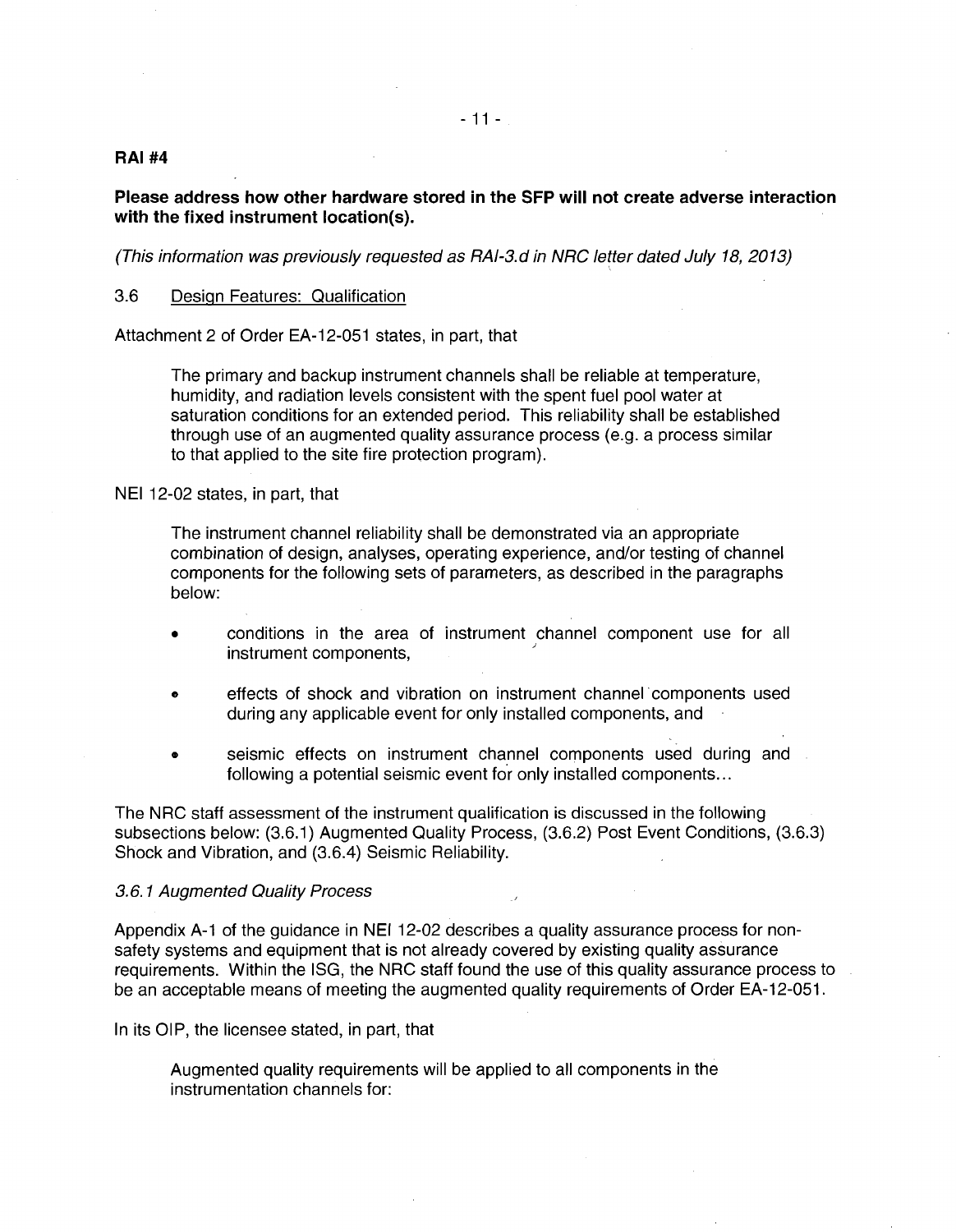## **RAI#4**

# **Please address how other hardware stored in the SFP will not create adverse interaction with the fixed instrument location(s).**

"

(This information was previously requested as RAI-3.d in NRC letter dated July 18, 2013)

# 3.6 Design Features: Qualification

Attachment 2 of Order EA-12-051 states, in part, that

The primary and backup instrument channels shall be reliable at temperature, humidity, and radiation levels consistent with the spent fuel pool water at saturation conditions for an extended period. This reliability shall be established through use of an augmented quality assurance process (e.g. a process similar to that applied to the site fire protection program).

NEI 12-02 states, in part, that

The instrument channel reliability shall be demonstrated via an appropriate combination of design, analyses, operating experience, and/or testing of channel components for the following sets of parameters, as described in the paragraphs below:

- conditions in the area of instrument channel component use for all instrument components,
- effects of shock and vibration on instrument channel· components used during any applicable event for only installed components, and
- seismic effects on instrument channel components used during and following a potential seismic event for only installed components...

The NRC staff assessment of the instrument qualification is discussed in the following subsections below: (3.6.1) Augmented Quality Process, (3.6.2) Post Event Conditions, (3.6.3) Shock and Vibration, and (3.6.4) Seismic Reliability.

#### 3. 6. 1 Augmented Quality Process

Appendix A-1 of the guidance in NEI 12-02 describes a quality assurance process for nonsafety systems and equipment that is not already covered by existing quality assurance requirements. Within the ISG, the NRC staff found the use of this quality assurance process to be an acceptable means of meeting the augmented quality requirements of Order EA-12-051.

In its OIP, the licensee stated, in part, that

Augmented quality requirements will be applied to all components in the instrumentation channels for: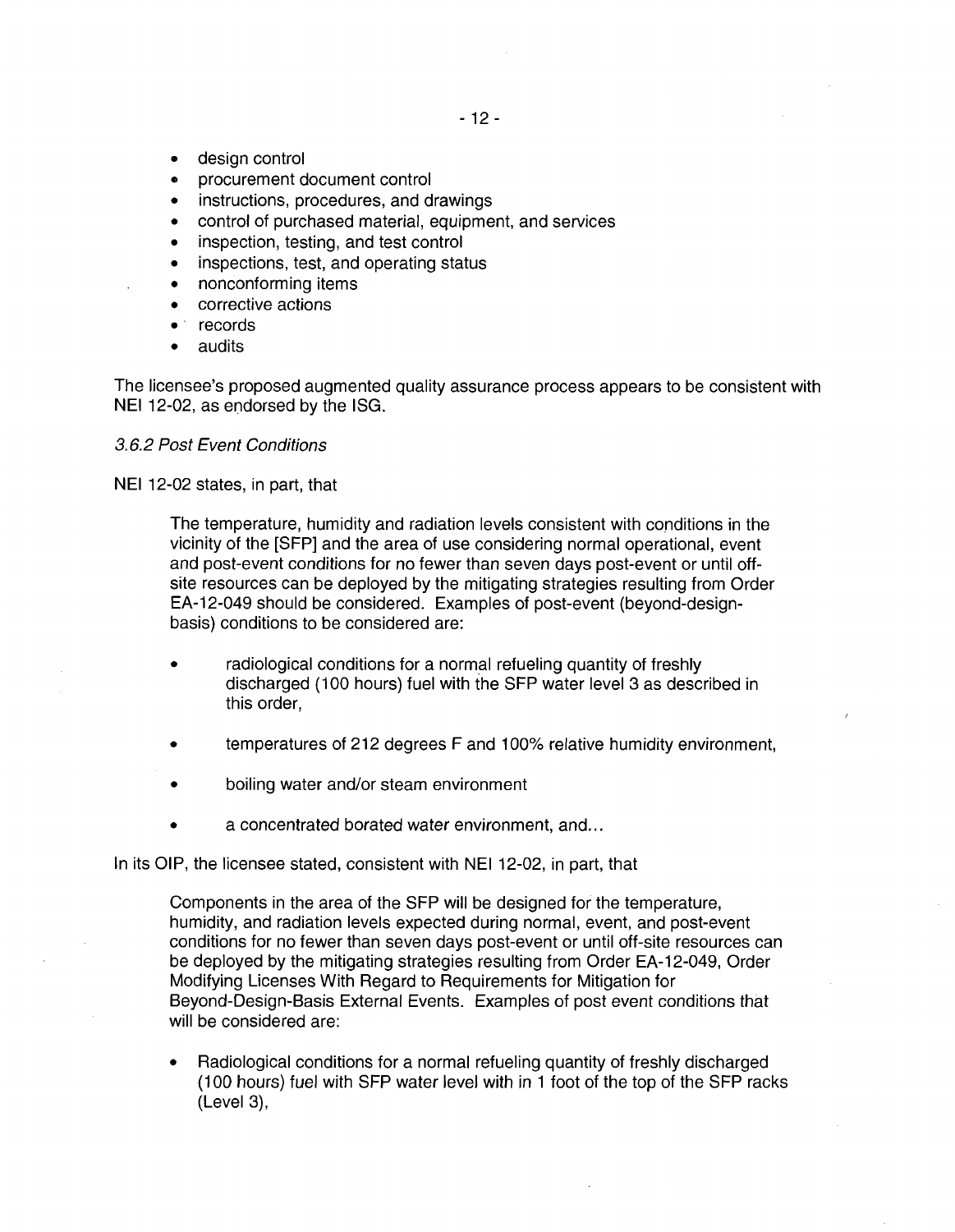- design control
- procurement document control
- instructions, procedures, and drawings
- control of purchased material, equipment, and services
- inspection, testing, and test control
- inspections, test, and operating status
- nonconforming items
- corrective actions
- records
- audits

The licensee's proposed augmented quality assurance process appears to be consistent with NEI 12-02, as endorsed by the ISG.

# 3.6.2 Post Event Conditions

NEI 12-02 states, in part, that

The temperature, humidity and radiation levels consistent with conditions in the vicinity of the [SFP] and the area of use considering normal operational, event and post-event conditions for no fewer than seven days post-event or until offsite resources can be deployed by the mitigating strategies resulting from Order EA-12-049 should be considered. Examples of post-event (beyond-designbasis) conditions to be considered are:

- radiological conditions for a normal refueling quantity of freshly discharged (1 00 hours) fuel with the SFP water level 3 as described in this order,
- temperatures of 212 degrees F and 100% relative humidity environment,
- boiling water and/or steam environment
- a concentrated borated water environment, and...

In its OIP, the licensee stated, consistent with NEI 12-02, in part, that

Components in the area of the SFP will be designed for the temperature, humidity, and radiation levels expected during normal, event, and post-event conditions for no fewer than seven days post-event or until off-site resources can be deployed by the mitigating strategies resulting from Order EA-12-049, Order Modifying Licenses With Regard to Requirements for Mitigation for Beyond-Design-Basis External Events. Examples of post event conditions that will be considered are:

• Radiological conditions for a normal refueling quantity of freshly discharged (100 hours) fuel with SFP water level with in 1 foot of the top of the SFP racks (Level 3),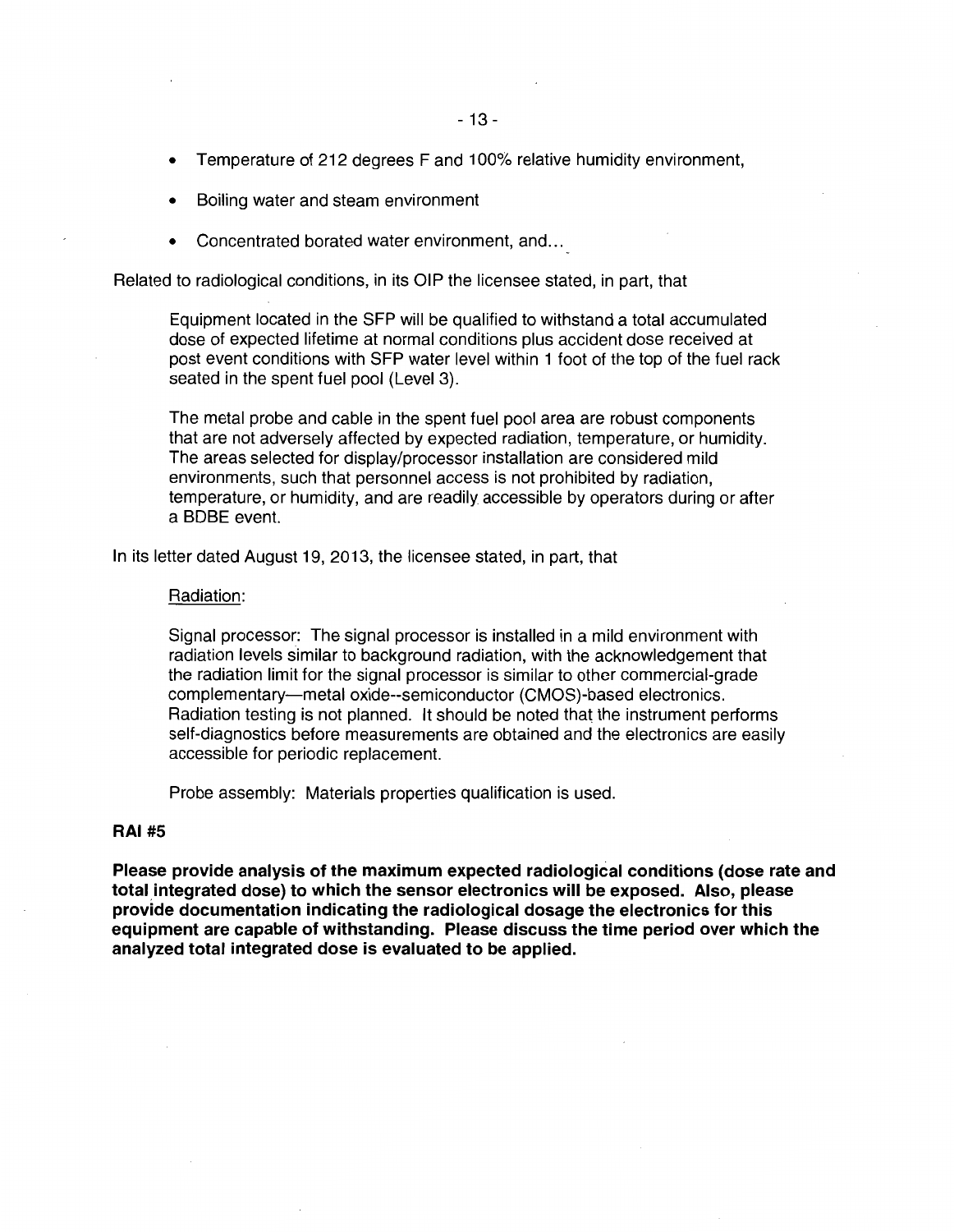- Temperature of 212 degrees F and 100% relative humidity environment,
- Boiling water and steam environment
- Concentrated borated water environment, and ...

Related to radiological conditions, in its OIP the licensee stated, in part, that

Equipment located in the SFP will be qualified to withstand a total accumulated dose of expected lifetime at normal conditions plus accident dose received at post event conditions with SFP water level within 1 foot of the top of the fuel rack seated in the spent fuel pool (Level 3).

The metal probe and cable in the spent fuel pool area are robust components that are not adversely affected by expected radiation, temperature, or humidity. The areas selected for display/processor installation are considered mild environments, such that personnel access is not prohibited by radiation, temperature, or humidity, and are readily accessible by operators during or after a BDBE event.

In its letter dated August 19, 2013, the licensee stated, in part, that

#### Radiation:

Signal processor: The signal processor is installed in a mild environment with radiation levels similar to background radiation, with the acknowledgement that the radiation limit for the signal processor is similar to other commercial-grade complementary-metal oxide--semiconductor (CMOS)-based electronics. Radiation testing is not planned. It should be noted that the instrument performs self-diagnostics before measurements are obtained and the electronics are easily accessible for periodic replacement.

Probe assembly: Materials properties qualification is used.

#### **RAI#S**

**Please provide analysis of the maximum expected radiological conditions (dose rate and total integrated dose) to which the sensor electronics will be exposed. Also, please provide documentation indicating the radiological dosage the electronics for this equipment are capable of withstanding. Please discuss the time period over which the analyzed total integrated dose is evaluated to be applied.**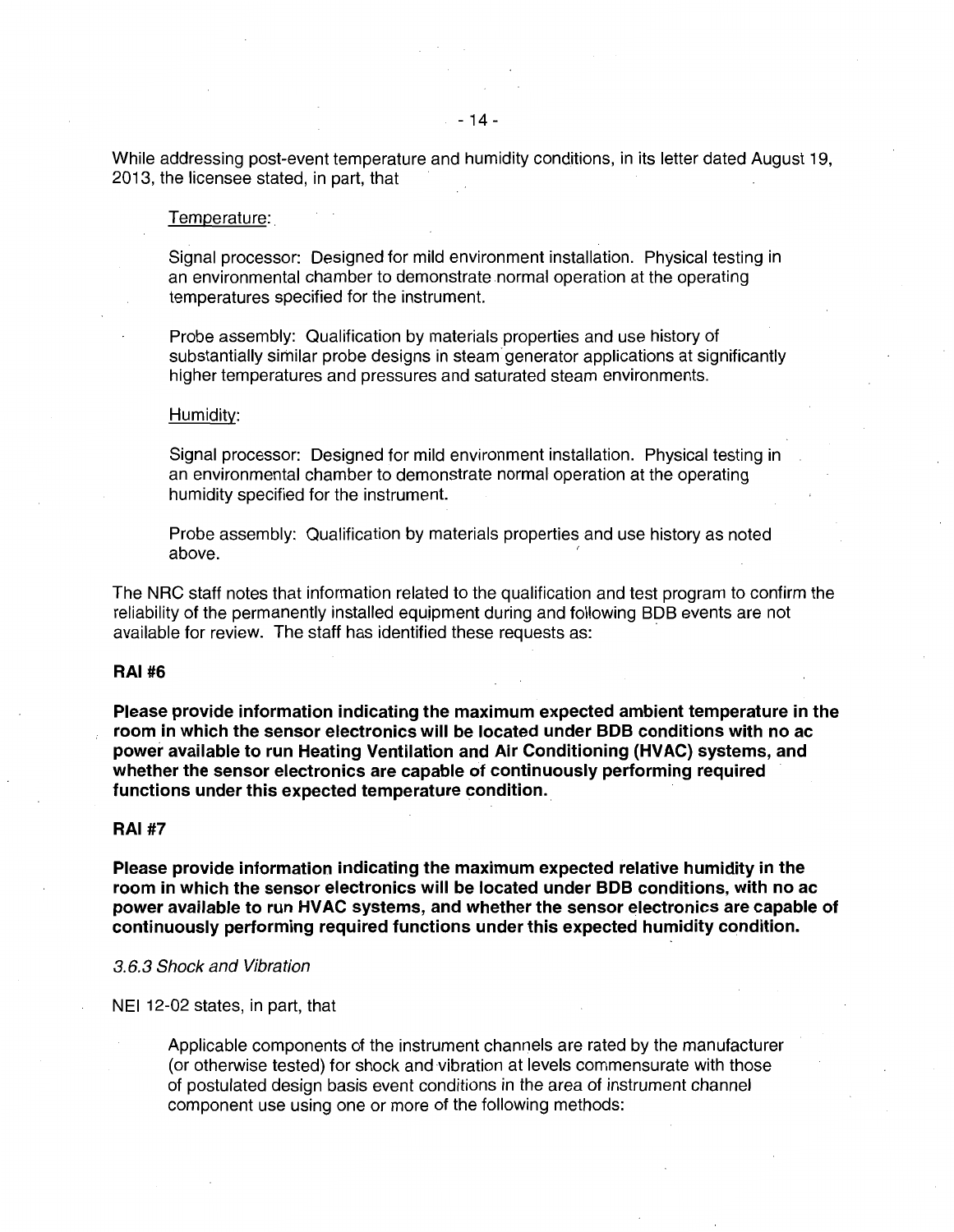While addressing post-event temperature and humidity conditions, in its letter dated August 19, 2013, the licensee stated, in part, that

#### Temperature:.

Signal processor: Designed for mild environment installation. Physical testing in an environmental chamber to demonstrate normal operation at the operating temperatures specified for the instrument.

Probe assembly: Qualification by materials properties and use history of substantially similar probe designs in steam generator applications at significantly higher temperatures and pressures and saturated steam environments.

#### Humidity:

Signal processor: Designed for mild environment installation. Physical testing in an environmental chamber to demonstrate normal operation at the operating humidity specified for the instrument.

Probe assembly: Qualification by materials properties and use history as noted above.

The NRC staff notes that information related to the qualification and test program to confirm the reliability of the permanently installed equipment during and following BOB events are not available for review. The staff has identified these requests as:

# **RAI#6**

**Please provide information indicating the maximum expected ambient temperature in the room in which the sensor electronics will be located under BOB conditions with no ac power available to run Heating Ventilation and Air Conditioning (HVAC) systems, and whether the sensor electronics are capable of continuously performing required**  functions under this expected temperature condition.

## **RAI#7**

**Please provide information indicating the maximum expected relative humidity in the room in which the sensor electronics will be located under BOB conditions, with no ac power available to run HVAC systems, and whether the sensor electronics are capable of continuously performing required functions under this expected humidity condition.** 

#### 3.6.3 Shock and Vibration

NEI 12-02 states, in part, that

Applicable components of the instrument channels are rated by the manufacturer (or otherwise tested) for shock and vibration at levels commensurate with those of postulated design basis event conditions in the area of instrument channel component use using one or more of the following methods: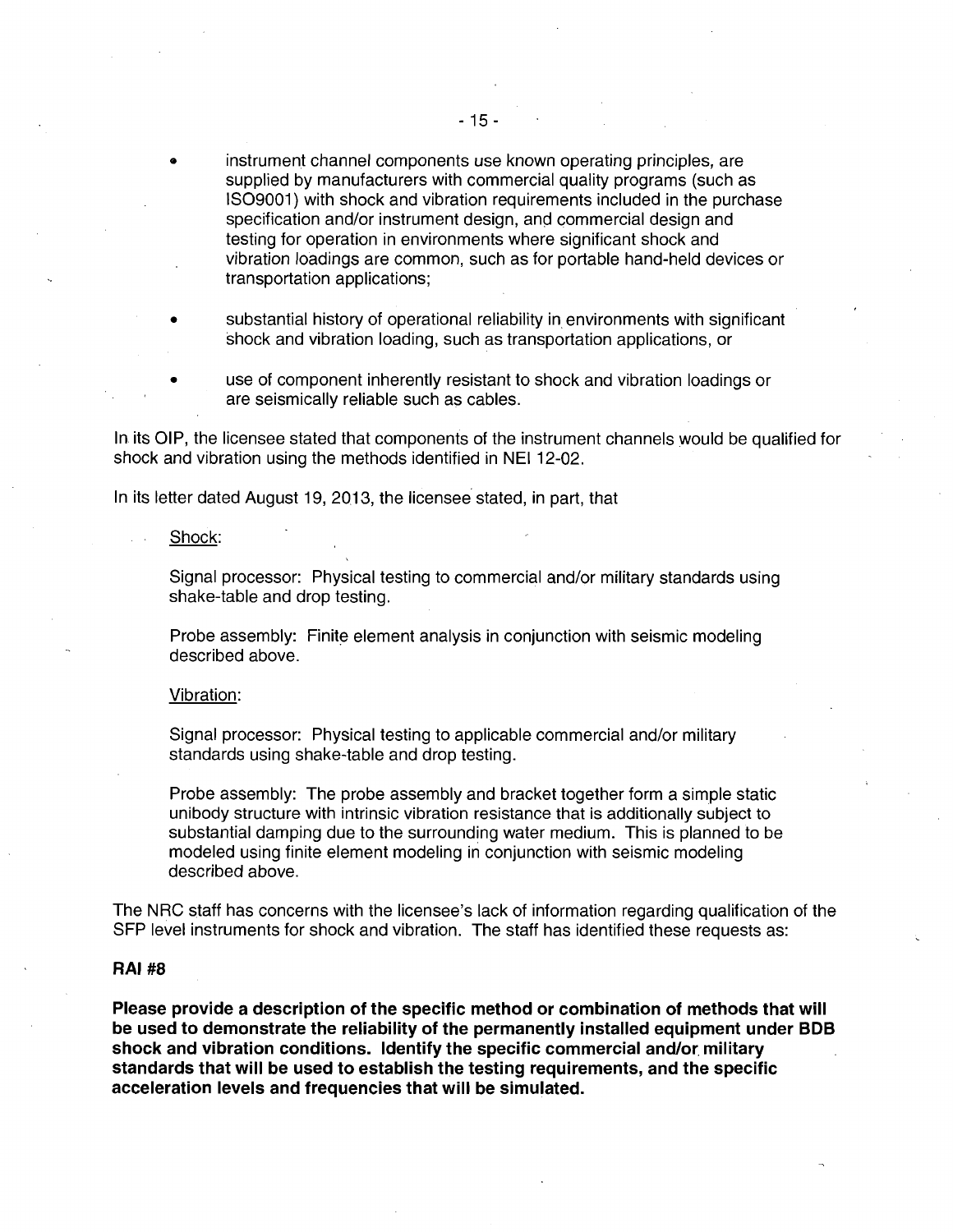- instrument channel components use known operating principles, are supplied by manufacturers with commercial quality programs (such as IS09001) with shock and vibration requirements included in the purchase specification and/or instrument design, and commercial design and testing for operation in environments where significant shock and vibration loadings are common, such as for portable hand-held devices or transportation applications;
- substantial history of operational reliability in environments with significant shock and vibration loading, such as transportation applications, or
- use of component inherently resistant to shock and vibration loadings or are seismically reliable such as cables.

In its OIP, the licensee stated that components of the instrument channels would be qualified for shock and vibration using the methods identified in NEI 12-02.

In its letter dated August 19, 2013, the licensee stated, in part, that

Shock:

Signal processor: Physical testing to commercial and/or military standards using shake-table and drop testing.

Probe assembly: Finite element analysis in conjunction with seismic modeling described above.

Vibration:

Signal processor: Physical testing to applicable commercial and/or military standards using shake-table and drop testing.

Probe assembly: The probe assembly and bracket together form a simple static unibody structure with intrinsic vibration resistance that is additionally subject to substantial damping due to the surrounding water medium. This is planned to be modeled using finite element modeling in conjunction with seismic modeling described above.

The NRC staff has concerns with the licensee's lack of information regarding qualification of the SFP level instruments for shock and vibration. The staff has identified these requests as:

# **RAJ #8**

**Please provide a description of the specific method or combination of methods that will be used to demonstrate the reliability of the permanently installed equipment under BOB shock and vibration conditions. Identify the specific commercial and/or. military standards that will be used to establish the testing requirements, and the specific acceleration levels and frequencies that will be simulated.**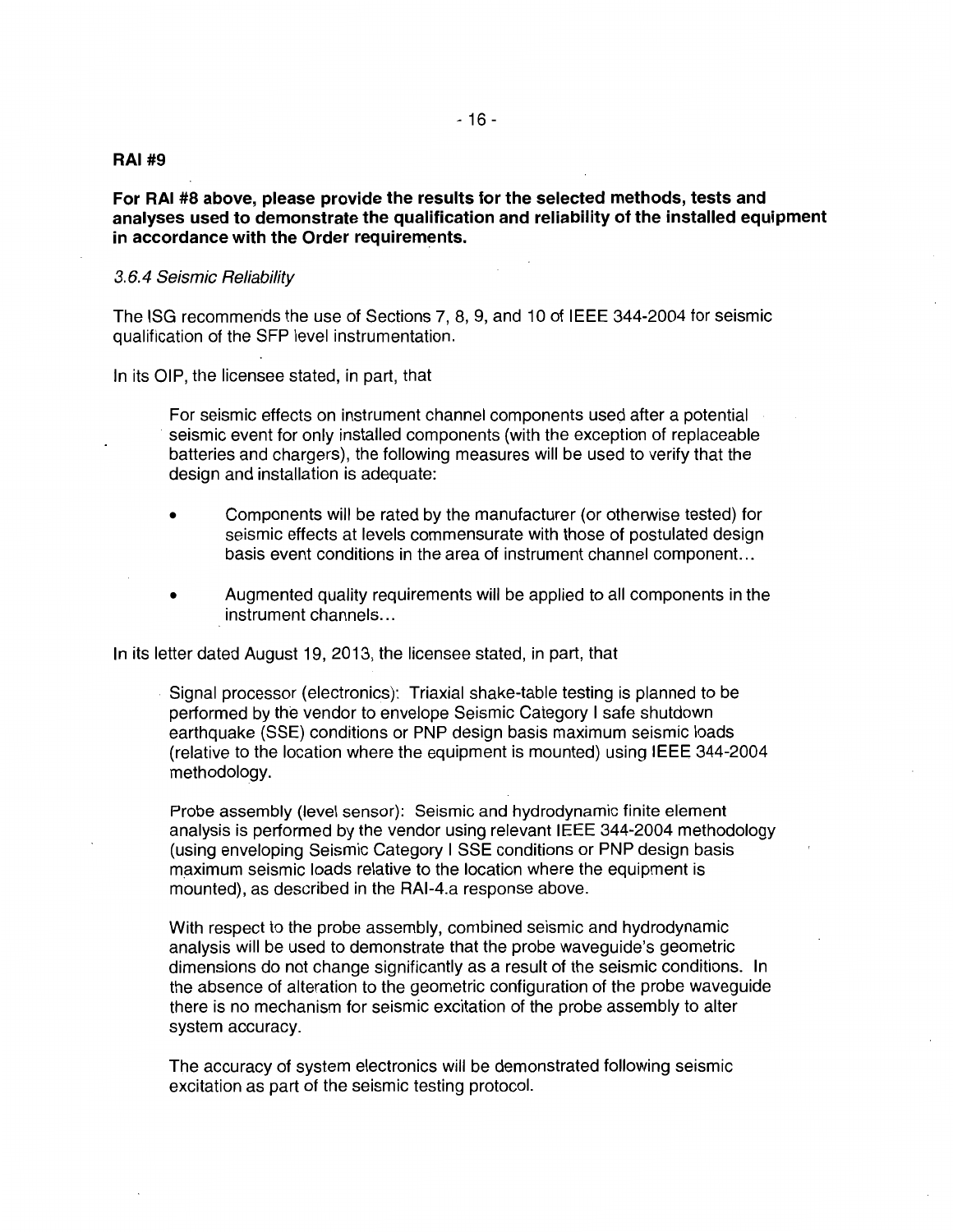# **RAI #9**

**For RAI #8 above, please provide the results for the selected methods, tests and analyses used to demonstrate the qualification and reliability of the installed equipment in accordance with the Order requirements.** 

## 3.6.4 Seismic Reliability

The ISG recommends the use of Sections 7, 8, 9, and 10 of IEEE 344-2004 for seismic qualification of the SFP level instrumentation.

In its OIP, the licensee stated, in part, that

For seismic effects on instrument channel components used after a potential seismic event for only installed components (with the exception of replaceable batteries and chargers), the following measures will be used to verify that the design and installation is adequate:

- Components will be rated by the manufacturer (or otherwise tested) for seismic effects at levels commensurate with those of postulated design basis event conditions in the area of instrument channel component. ..
- Augmented quality requirements will be applied to all components in the instrument channels...

In its letter dated August 19, 2013, the licensee stated, in part, that

Signal processor (electronics): Triaxial shake-table testing is planned to be performed by the vendor to envelope Seismic Category I safe shutdown earthquake (SSE) conditions or PNP design basis maximum seismic loads (relative to the location where the equipment is mounted) using IEEE 344-2004 methodology.

Probe assembly (level sensor): Seismic and hydrodynamic finite element analysis is performed by the vendor using relevant IEEE 344-2004 methodology (using enveloping Seismic Category I SSE conditions or PNP design basis maximum seismic loads relative to the location where the equipment is mounted), as described in the RAI-4.a response above.

With respect to the probe assembly, combined seismic and hydrodynamic analysis will be used to demonstrate that the probe waveguide's geometric dimensions do not change significantly as a result of the seismic conditions. In the absence of alteration to the geometric configuration of the probe waveguide there is no mechanism for seismic excitation of the probe assembly to alter system accuracy.

The accuracy of system electronics will be demonstrated following seismic excitation as part of the seismic testing protocol.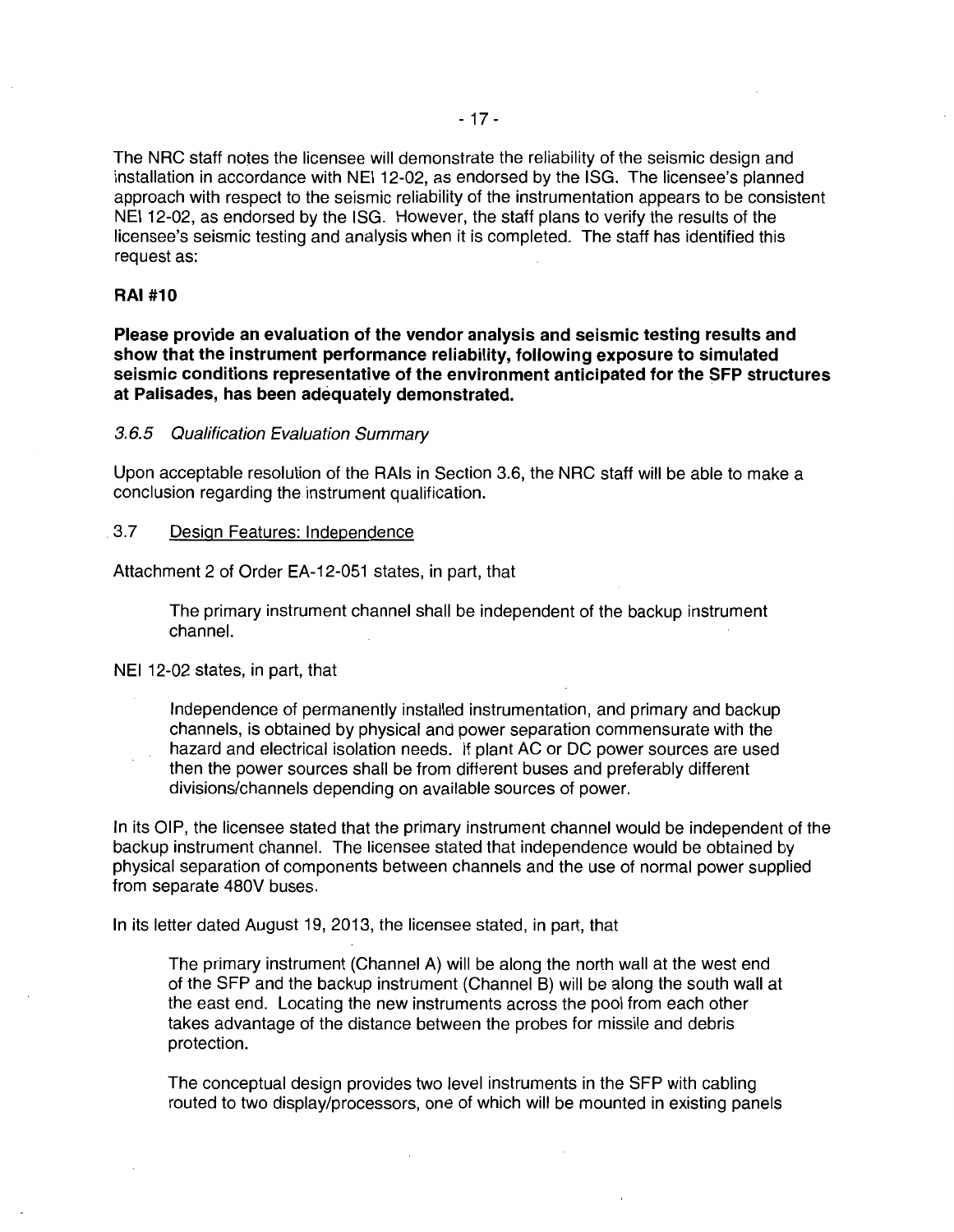The NRC staff notes the licensee will demonstrate the reliability of the seismic design and installation in accordance with NEI 12-02, as endorsed by the ISG. The licensee's planned approach with respect to the seismic reliability of the instrumentation appears to be consistent NEI 12-02, as endorsed by the ISG. However, the staff plans to verify the results of the licensee's seismic testing and analysis when it is completed. The staff has identified this request as:

# **RAI #10**

**Please provide an evaluation of the vendor analysis and seismic testing results and show that the instrument performance reliability, following exposure to simulated seismic conditions representative of the environment anticipated for the SFP structures at Palisades, has been adequately demonstrated.** 

3.6.5 Qualification Evaluation Summary

Upon acceptable resolution of the RAis in Section 3.6, the NRC staff will be able to make a conclusion regarding the instrument qualification.

# 3.7 Design Features: Independence

Attachment 2 of Order EA-12-051 states, in part, that

The primary instrument channel shall be independent of the backup instrument channel.

NEI 12-02 states, in part, that

Independence of permanently installed instrumentation, and primary and backup channels, is obtained by physical and power separation commensurate with the hazard and electrical isolation needs. If plant AC or DC power sources are used then the power sources shall be from different buses and preferably different divisions/channels depending on available sources of power.

In its OIP, the licensee stated that the primary instrument channel would be independent of the backup instrument channel. The licensee stated that independence would be obtained by physical separation of components between channels and the use of normal power supplied from separate 480V buses.

In its letter dated August 19, 2013, the licensee stated, in part, that

The primary instrument (Channel A) will be along the north wall at the west end of the SFP and the backup instrument (Channel B) will be along the south wall at the east end. Locating the new instruments across the pool from each other takes advantage of the distance between the probes for missile and debris protection.

The conceptual design provides two level instruments in the SFP with cabling routed to two display/processors, one of which will be mounted in existing panels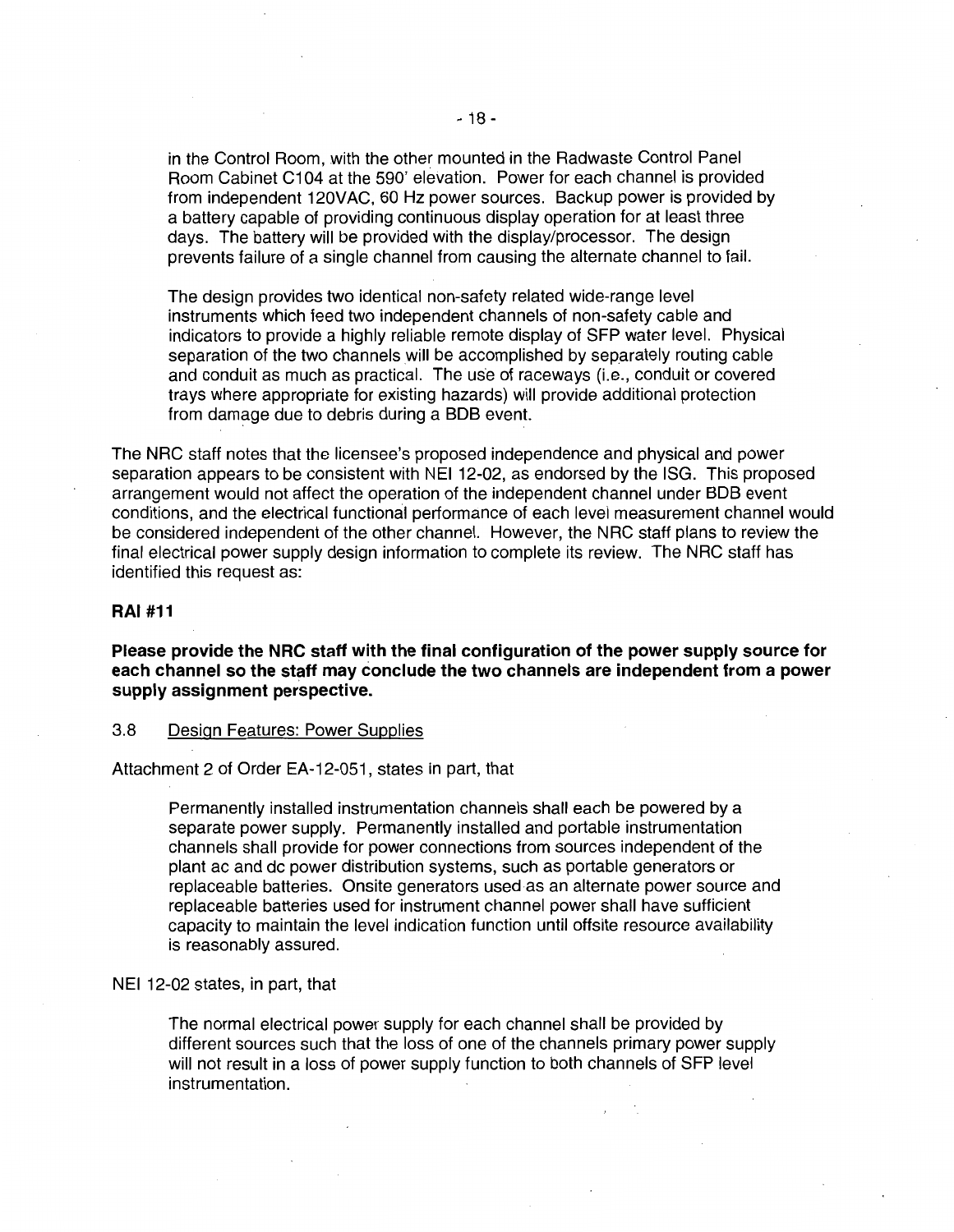in the Control Room, with the other mounted in the Radwaste Control Panel Room Cabinet C1 04 at the 590' elevation. Power for each channel is provided from independent 120VAC, 60 Hz power sources. Backup power is provided by a battery capable of providing continuous display operation for at least three days. The battery will be provided with the display/processor. The design prevents failure of a single channel from causing the alternate channel to fail.

The design provides two identical non-safety related wide-range level instruments which feed two independent channels of non-safety cable and indicators to provide a highly reliable remote display of SFP water level. Physical separation of the two channels will be accomplished by separately routing cable and conduit as much as practical. The use of raceways (i.e., conduit or covered trays where appropriate for existing hazards) will provide additional protection from damage due to debris during a BDB event.

The NRC staff notes that the licensee's proposed independence and physical and power separation appears to be consistent with NEI 12-02, as endorsed by the ISG. This proposed arrangement would not affect the operation of the independent channel under BOB event conditions, and the electrical functional performance of each level measurement channel would be considered independent of the other channel. However, the NRC staff plans to review the final electrical power supply design information to complete its review. The NRC staff has identified this request as:

#### **RAI #11**

**Please provide the NRC staff with the final configuration of the power supply source for each channel so the staff may conclude the two channels are independent from a power supply assignment perspective.** 

#### 3.8 Design Features: Power Supplies

Attachment 2 of Order EA-12-051 , states in part, that

Permanently installed instrumentation channels shall each be powered by a separate power supply. Permanently installed and portable instrumentation channels shall provide for power connections from sources independent of the plant ac and de power distribution systems, such as portable generators or replaceable batteries. Onsite generators used as an alternate power source and replaceable batteries used for instrument channel power shall have sufficient capacity to maintain the level indication function until offsite resource availability is reasonably assured.

#### NEI 12-02 states, in part, that

The normal electrical power supply for each channel shall be provided by different sources such that the loss of one of the channels primary power supply will not result in a loss of power supply function to both channels of SFP level instrumentation.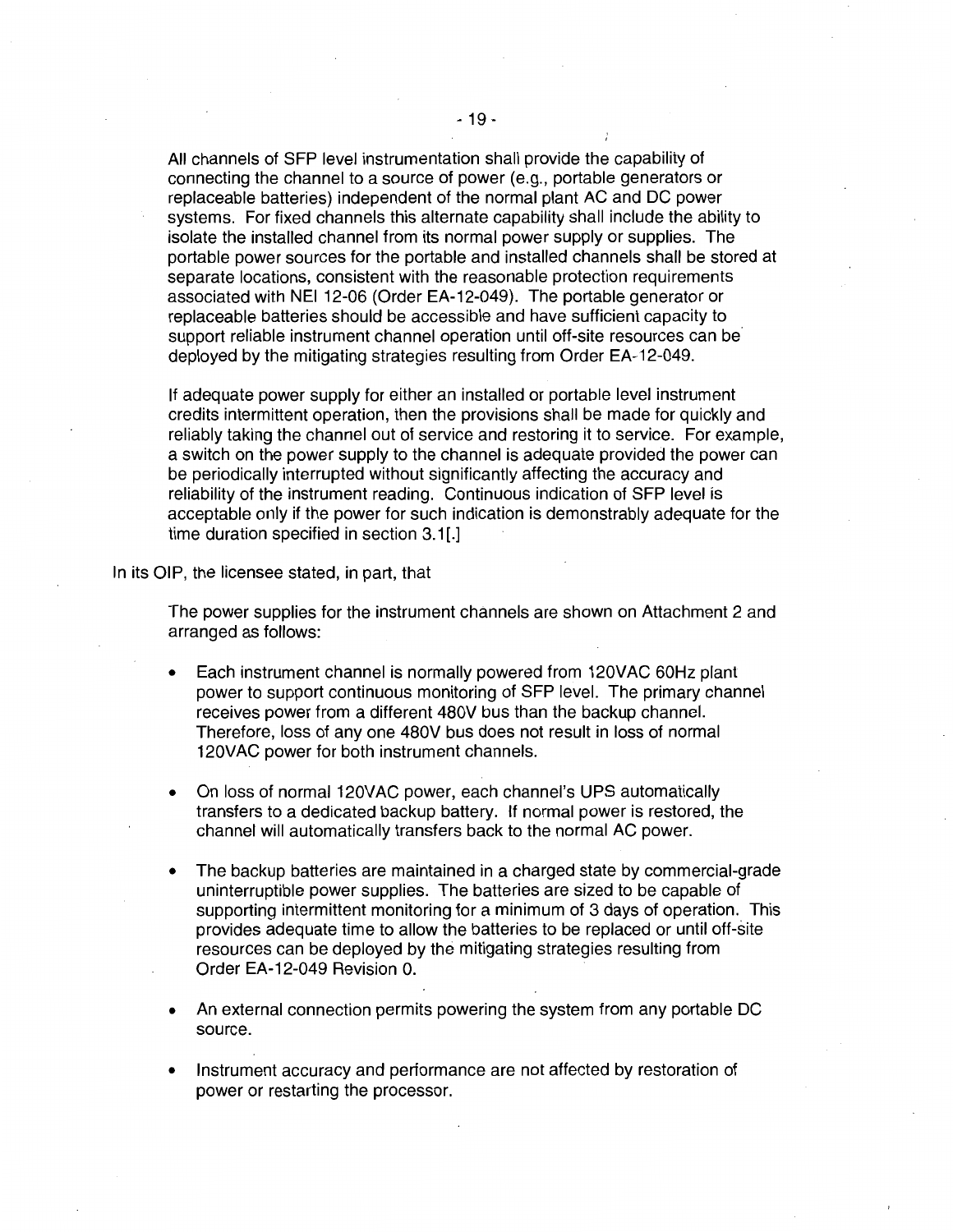All channels of SFP level instrumentation shall provide the capability of connecting the channel to a source of power (e.g., portable generators or replaceable batteries) independent of the normal plant AC and DC power systems. For fixed channels this alternate capability shall include the ability to isolate the installed channel from its normal power supply or supplies. The portable power sources for the portable and installed channels shall be stored at separate locations, consistent with the reasonable protection requirements associated with NEI 12-06 (Order EA-12-049). The portable generator or replaceable batteries should be accessible and have sufficient capacity to support reliable instrument channel operation until off-site resources can be deployed by the mitigating strategies resulting from Order EA-12-049.

If adequate power supply for either an installed or portable level instrument credits intermittent operation, then the provisions shall be made for quickly and reliably taking the channel out of service and restoring it to service. For example, a switch on the power supply to the channel is adequate provided the power can be periodically interrupted without significantly affecting the accuracy and reliability of the instrument reading. Continuous indication of SFP level is acceptable only if the power for such indication is demonstrably adequate for the time duration specified in section 3.1[.]

In its OIP, the licensee stated, in part, that

The power supplies for the instrument channels are shown on Attachment 2 and arranged as follows:

- Each instrument channel is normally powered from 120VAC 60Hz plant power to support continuous monitoring of SFP level. The primary channel receives power from a different 480V bus than the backup channel. Therefore, loss of any one 480V bus does not result in loss of normal 120VAC power for both instrument channels.
- On loss of normal 120VAC power, each channel's UPS automatically transfers to a dedicated backup battery. If normal power is restored, the channel will automatically transfers back to the normal AC power.
- The backup batteries are maintained in a charged state by commercial-grade uninterruptible power supplies. The batteries are sized to be capable of supporting intermittent monitoring for a minimum of 3 days of operation. This provides adequate time to allow the batteries to be replaced or until off-site resources can be deployed by the mitigating strategies resulting from Order EA-12-049 Revision 0.
- An external connection permits powering the system from any portable DC source.
- Instrument accuracy and performance are not affected by restoration of power or restarting the processor.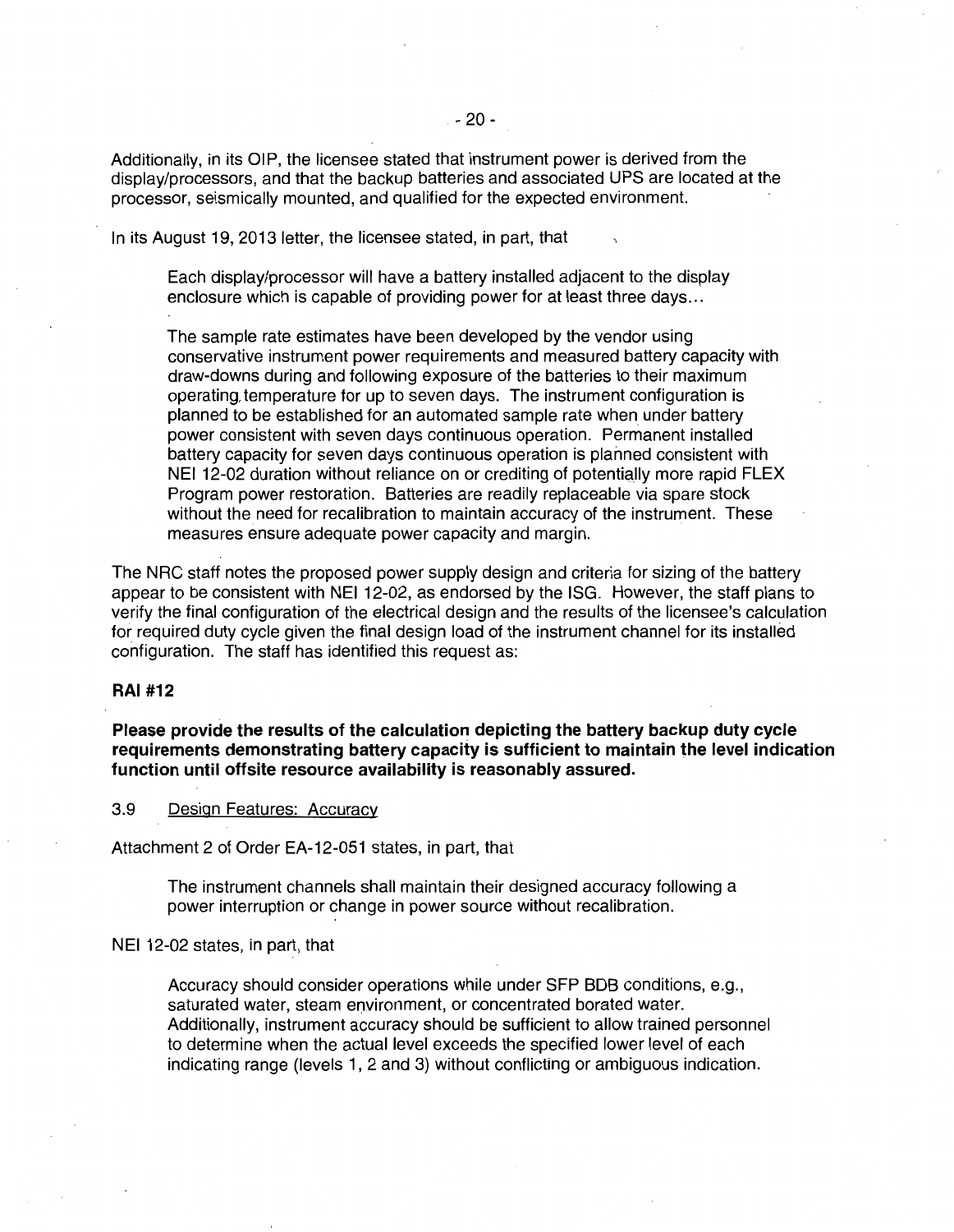Additionally, in its OIP, the licensee stated that instrument power is derived from the display/processors, and that the backup batteries and associated UPS are located at the processor, seismically mounted, and qualified for the expected environment.

In its August 19, 2013 letter, the licensee stated, in part, that

Each display/processor will have a battery installed adjacent to the display enclosure which is capable of providing power for at least three days ...

The sample rate estimates have been developed by the vendor using conservative instrument power requirements and measured battery capacity with draw-downs during and following exposure of the batteries to their maximum operating, temperature for up to seven days. The instrument configuration is planned to be established for an automated sample rate when under battery power consistent with seven days continuous operation. Permanent installed battery capacity for seven days continuous operation is planned consistent with NEI 12-02 duration without reliance on or crediting of potentially more rapid FLEX Program power restoration. Batteries are readily replaceable via spare stock without the need for recalibration to maintain accuracy of the instrument. These measures ensure adequate power capacity and margin.

The NRC staff notes the proposed power supply design and criteria for sizing of the battery appear to be consistent with NEI 12-02, as endorsed by the ISG. However, the staff plans to verify the final configuration of the electrical design and the results of the licensee's calculation for required duty cycle given the final design load of the instrument channel for its installed configuration. The staff has identified this request as:

## **RAI #12**

**Please provide the results of the calculation depicting the battery backup duty cycle requirements demonstrating battery capacity is sufficient to maintain the level indication function until offsite resource availability is reasonably assured.** 

3.9 Design Features: Accuracy

Attachment 2 of Order EA-12-051 states, in part, that

The instrument channels shall maintain their designed accuracy following a power interruption or change in power source without recalibration.

NEI 12-02 states, in part, that

Accuracy should consider operations while under SFP BOB conditions, e.g., saturated water, steam environment, or concentrated borated water. Additionally, instrument accuracy should be sufficient to allow trained personnel to determine when the actual level exceeds the specified lower level of each indicating range (levels 1, 2 and 3) without conflicting or ambiguous indication.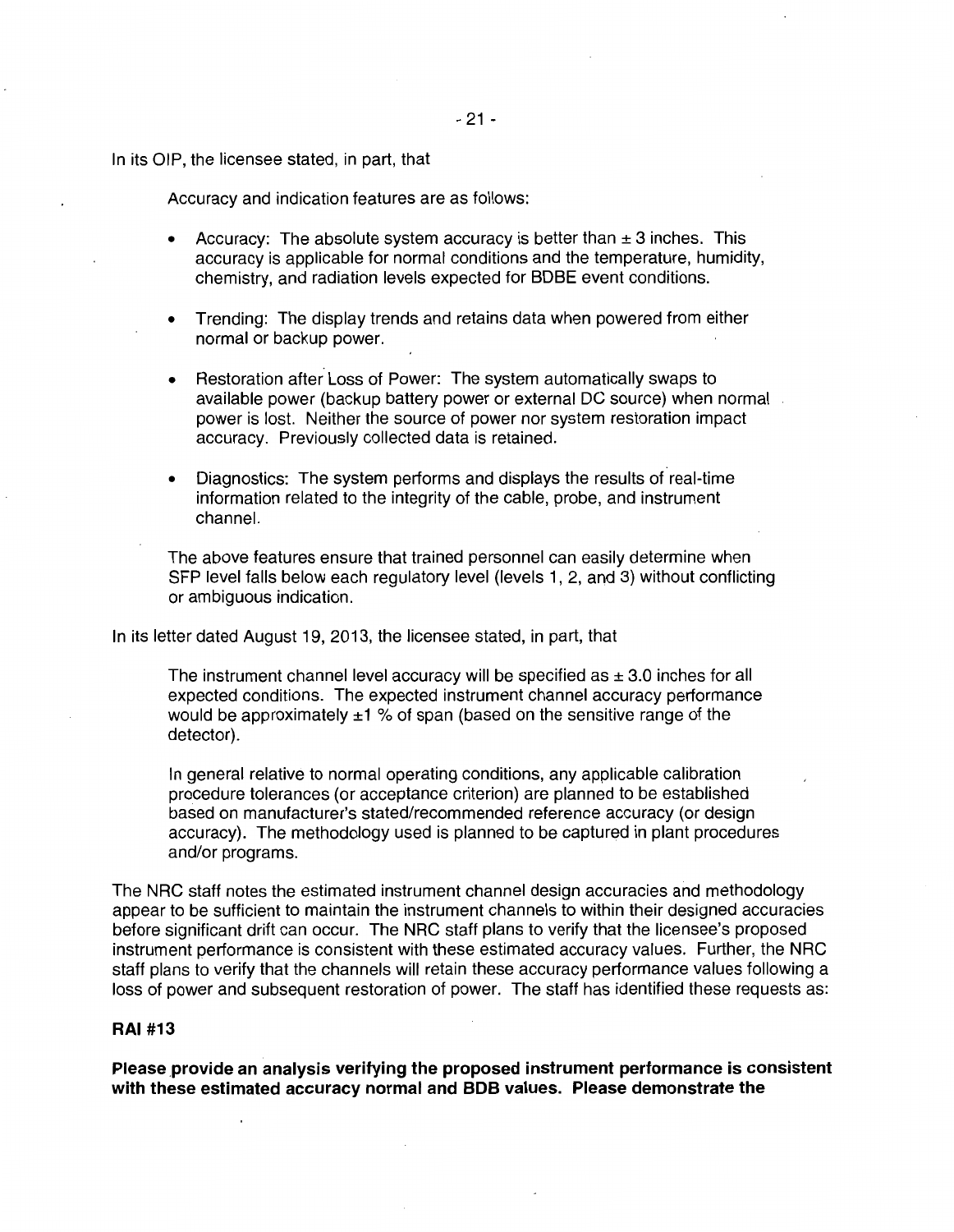In its OIP, the licensee stated, in part, that

Accuracy and indication features are as follows:

- Accuracy: The absolute system accuracy is better than  $\pm$  3 inches. This accuracy is applicable for normal conditions and the temperature, humidity, chemistry, and radiation levels expected for BDBE event conditions.
- Trending: The display trends and retains data when powered from either normal or backup power.
- Restoration after Loss of Power: The system automatically swaps to available power (backup battery power or external DC source) when normal power is lost. Neither the source of power nor system restoration impact accuracy. Previously collected data is retained.
- Diagnostics: The system performs and displays the results of real-time information related to the integrity of the cable, probe, and instrument channel.

The above features ensure that trained personnel can easily determine when SFP level falls below each regulatory level (levels 1, 2, and 3) without conflicting or ambiguous indication.

In its letter dated August 19, 2013, the licensee stated, in part, that

The instrument channel level accuracy will be specified as  $\pm$  3.0 inches for all expected conditions. The expected instrument channel accuracy performance would be approximately  $\pm 1$  % of span (based on the sensitive range of the detector).

In general relative to normal operating conditions, any applicable calibration procedure tolerances (or acceptance criterion) are planned to be established based on manufacturer's stated/recommended reference accuracy (or design accuracy). The methodology used is planned to be captured in plant procedures and/or programs.

The NRC staff notes the estimated instrument channel design accuracies and methodology appear to be sufficient to maintain the instrument channels to within their designed accuracies before significant drift can occur. The NRC staff plans to verify that the licensee's proposed instrument performance is consistent with these estimated accuracy values. Further, the NRC staff plans to verify that the channels will retain these accuracy performance values following a loss of power and subsequent restoration of power. The staff has identified these requests as:

# **RAI #13**

Please provide an analysis verifying the proposed instrument performance is consistent **with these estimated accuracy normal and BOB values. Please demonstrate the**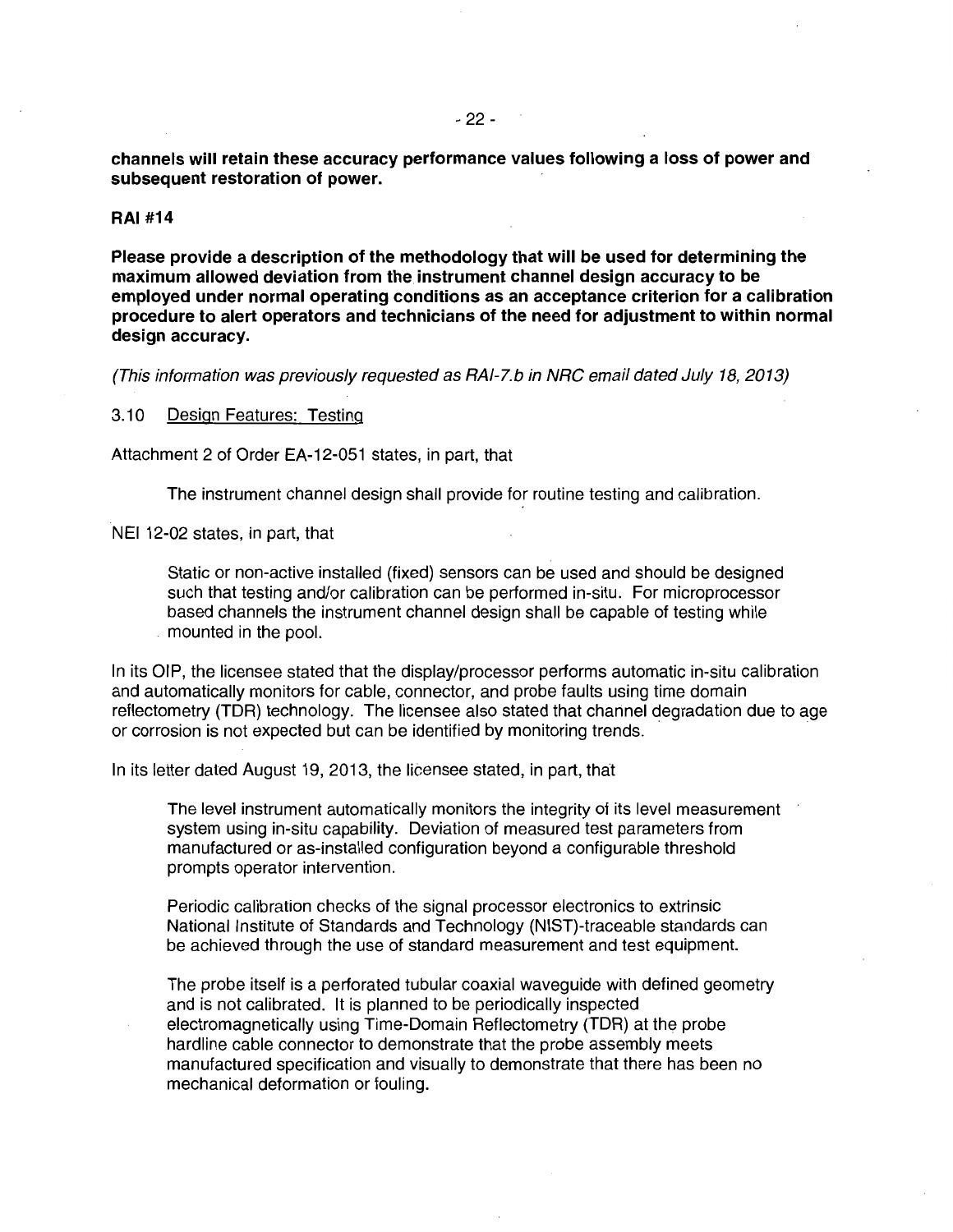**channels will retain these accuracy performance values following a Joss of power and subsequent restoration of power.** 

#### **RAJ #14**

**Please provide a description of the methodology that will be used for determining the maximum allowed deviation from the instrument channel design accuracy to be employed under normal operating conditions as an acceptance criterion for a calibration procedure to alert operators and technicians of the need for adjustment to within normal design accuracy.** 

(This information was previously requested as RAI-7.b in NRC email dated July 18, 2013)

#### 3.10 Design Features: Testing

Attachment 2 of Order EA-12-051 states, in part, that

The instrument channel design shall provide for routine testing and calibration.

NEI 12-02 states, in part, that

Static or non-active installed (fixed) sensors can be used and should be designed such that testing and/or calibration can be performed in-situ. For microprocessor based channels the instrument channel design shall be capable of testing while mounted in the pool.

In its OIP, the licensee stated that the display/processor performs automatic in-situ calibration and automatically monitors for cable, connector, and probe faults using time domain reflectometry (TOR) technology. The licensee also stated that channel degradation due to age or corrosion is not expected but can be identified by monitoring trends.

In its letter dated August 19, 2013, the licensee stated, in part, that

The level instrument automatically monitors the integrity of its level measurement system using in-situ capability. Deviation of measured test parameters from manufactured or as-installed configuration beyond a configurable threshold prompts operator intervention.

Periodic calibration checks of the signal processor electronics to extrinsic National Institute of Standards and Technology (NIST)-traceable standards can be achieved through the use of standard measurement and test equipment.

The probe itself is a perforated tubular coaxial waveguide with defined geometry and is not calibrated. It is planned to be periodically inspected electromagnetically using Time-Domain Reflectometry (TOR) at the probe hardline cable connector to demonstrate that the probe assembly meets manufactured specification and visually to demonstrate that there has been no mechanical deformation or fouling.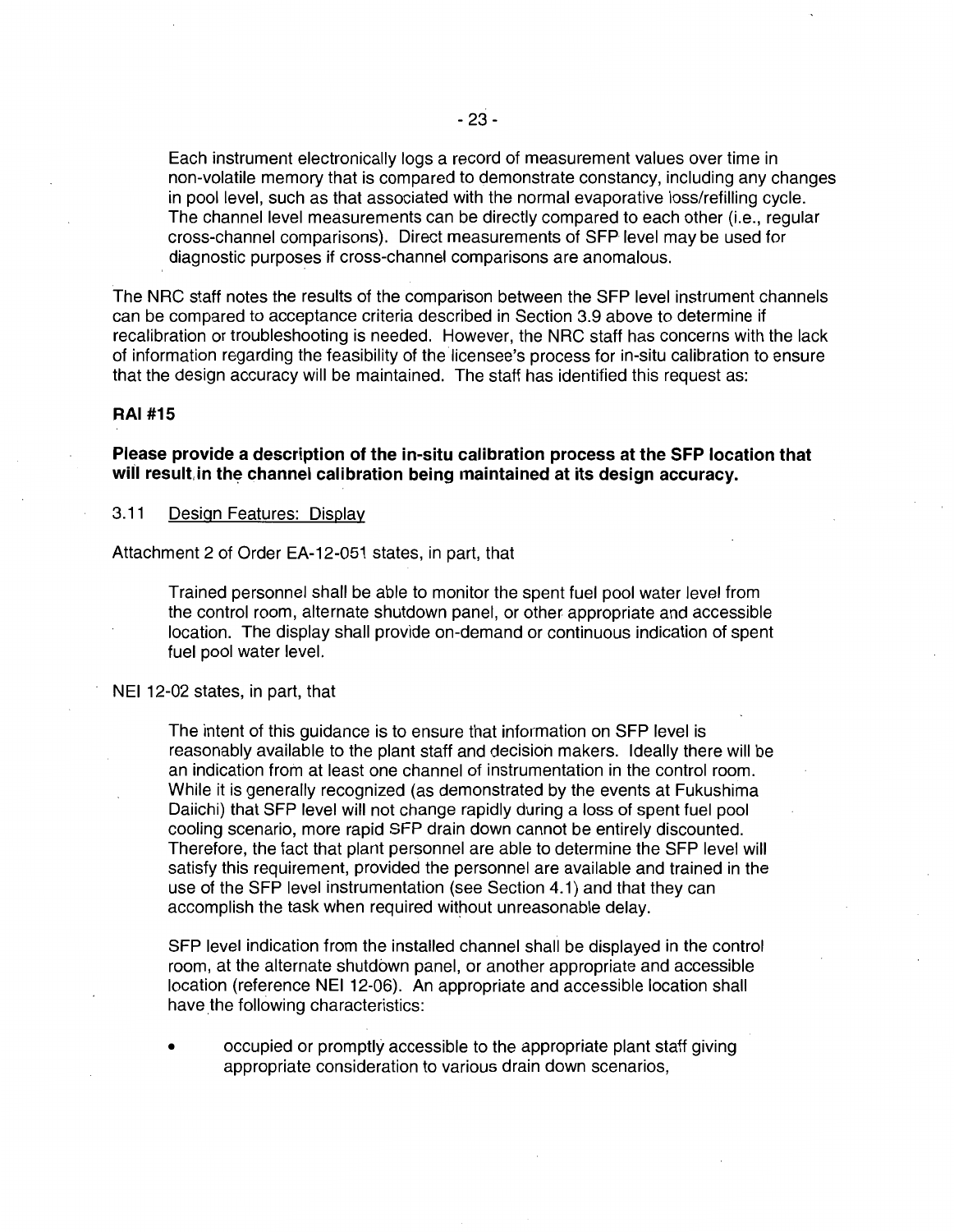Each instrument electronically logs a record of measurement values over time in non-volatile memory that is compared to demonstrate constancy, including any changes in pool level, such as that associated with the normal evaporative loss/refilling cycle. The channel level measurements can be directly compared to each other (i.e., regular cross-channel comparisons). Direct measurements of SFP level may be used for diagnostic purposes if cross-channel comparisons are anomalous.

The NRC staff notes the results of the comparison between the SFP level instrument channels can be compared to acceptance criteria described in Section 3.9 above to determine if recalibration or troubleshooting is needed. However, the NRC staff has concerns with the lack of information regarding the feasibility of the licensee's process for in-situ calibration to ensure that the design accuracy will be maintained. The staff has identified this request as:

# **RAI #15**

**Please provide a description of the in-situ calibration process at the SFP location that**  will result in the channel calibration being maintained at its design accuracy.

3.11 Design Features: Display

Attachment 2 of Order EA-12-051 states, in part, that

Trained personnel shall be able to monitor the spent fuel pool water level from the control room, alternate shutdown panel, or other appropriate and accessible location. The display shall provide on-demand or continuous indication of spent fuel pool water level.

NEI 12-02 states, in part, that

The intent of this guidance is to ensure that information on SFP level is reasonably available to the plant staff and decision makers. Ideally there will be an indication from at least one channel of instrumentation in the control room. While it is generally recognized (as demonstrated by the events at Fukushima Daiichi) that SFP level will not change rapidly during a loss of spent fuel pool cooling scenario, more rapid SFP drain down cannot be entirely discounted. Therefore, the fact that plant personnel are able to determine the SFP level will satisfy this requirement, provided the personnel are available and trained in the use of the SFP level instrumentation (see Section 4.1) and that they can accomplish the task when required without unreasonable delay.

SFP level indication from the installed channel shall be displayed in the control room, at the alternate shutdown panel, or another appropriate and accessible location (reference NEI 12-06). An appropriate and accessible location shall have the following characteristics:

• occupied or promptly accessible to the appropriate plant staff giving appropriate consideration to various drain down scenarios,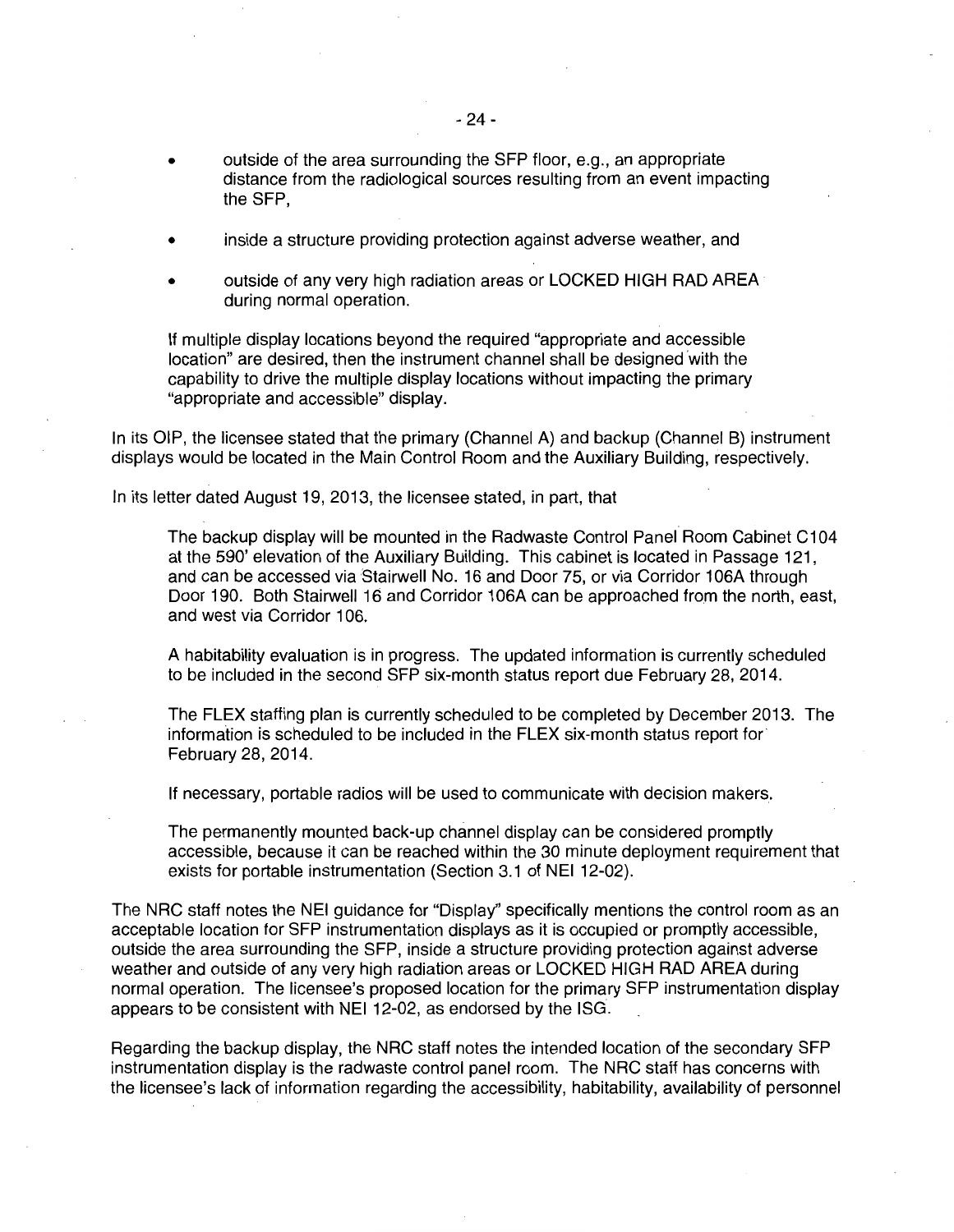- outside of the area surrounding the SFP floor, e.g., an appropriate distance from the radiological sources resulting from an event impacting the SFP,
- inside a structure providing protection against adverse weather, and
- outside of any very high radiation areas or LOCKED HIGH RAD AREA during normal operation.

If multiple display locations beyond the required "appropriate and accessible location" are desired, then the instrument channel shall be designed 'with the capability to drive the multiple display locations without impacting the primary "appropriate and accessible" display.

In its OIP, the licensee stated that the primary (Channel A) and backup (Channel B) instrument displays would be located in the Main Control Room and the Auxiliary Building, respectively.

In its letter dated August 19, 2013, the licensee stated, in part, that

The backup display will be mounted in the Radwaste Control Panel Room Cabinet C1 04 at the 590' elevation of the Auxiliary Building. This cabinet is located in Passage 121, and can be accessed via Stairwell No. 16 and Door 75, or via Corridor 1 06A through Door 190. Both Stairwell 16 and Corridor 106A can be approached from the north, east, and west via Corridor 106.

A habitability evaluation is in progress. The updated information is currently scheduled to be included in the second SFP six-month status report due February 28, 2014.

The FLEX staffing plan is currently scheduled to be completed by December 2013. The information is scheduled to be included in the FLEX six-month status report for February 28, 2014.

If necessary, portable radios will be used to communicate with decision makers.

The permanently mounted back-up channel display can be considered promptly accessible, because it can be reached within the 30 minute deployment requirement that exists for portable instrumentation (Section 3.1 of NEI 12-02).

The NRC staff notes the NEI guidance for "Display" specifically mentions the control room as an acceptable location for SFP instrumentation displays as it is occupied or promptly accessible, outside the area surrounding the SFP, inside a structure providing protection against adverse weather and outside of any very high radiation areas or LOCKED HIGH RAD AREA during normal operation. The licensee's proposed location for the primary SFP instrumentation display appears to be consistent with NEI 12-02, as endorsed by the ISG.

Regarding the backup display, the NRC staff notes the intended location of the secondary SFP instrumentation display is the radwaste control panel room. The NRC staff has concerns with the licensee's lack of information regarding the accessibility, habitability, availability of personnel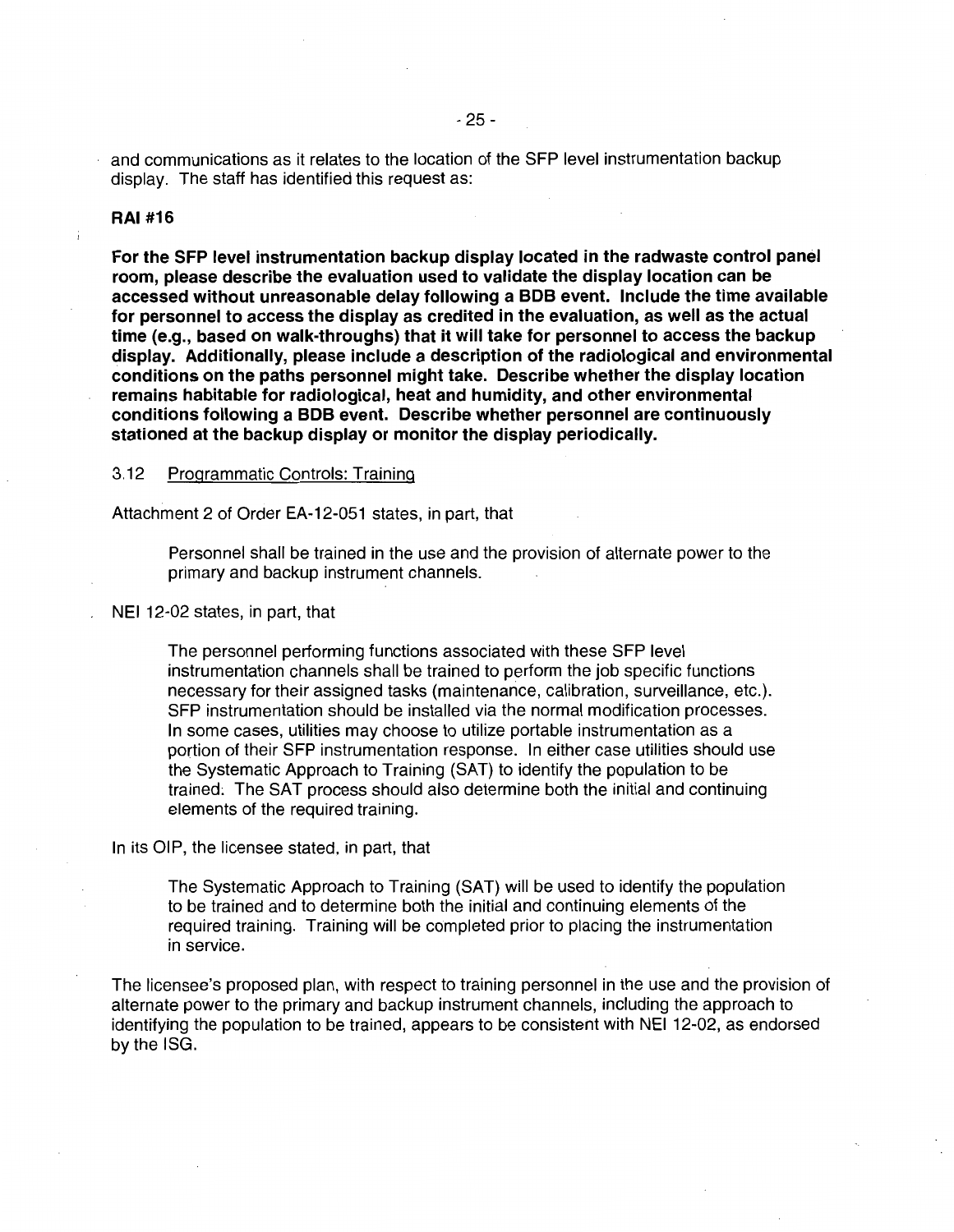and communications as it relates to the location of the SFP level instrumentation backup display. The staff has identified this request as:

# **RAI #16**

**For the SFP level instrumentation backup display located in the radwaste control panel room, please describe the evaluation used to validate the display location can be accessed without unreasonable delay following a BOB event. Include the time available for personnel to access the display as credited in the evaluation, as well as the actual time (e.g., based on walk-throughs) that it will take for personnel to access the backup display. Additionally, please include a description of the radiological and environmental conditions on the paths personnel might take. Describe whether the display location remains habitable for radiological, heat and humidity, and other environmental conditions following a BOB event. Describe whether personnel are continuously stationed at the backup display or monitor the display periodically.** 

3.12 Programmatic Controls: Training

Attachment 2 of Order EA-12-051 states, in part, that

Personnel shall be trained in the use and the provision of alternate power to the primary and backup instrument channels.

NEI 12-02 states, in part, that

The personnel performing functions associated with these SFP level instrumentation channels shall be trained to perform the job specific functions necessary for their assigned tasks (maintenance, calibration, surveillance, etc.). SFP instrumentation should be installed via the normal modification processes. In some cases, utilities may choose to utilize portable instrumentation as a portion of their SFP instrumentation response. In either case utilities should use the Systematic Approach to Training (SAT) to identify the population to be trained; The SAT process should also determine both the initial and continuing elements of the required training.

In its OIP, the licensee stated, in part, that

The Systematic Approach to Training (SAT) will be used to identify the population to be trained and to determine both the initial and continuing elements of the required training. Training will be completed prior to placing the instrumentation in service.

The licensee's proposed plan, with respect to training personnel in the use and the provision of alternate power to the primary and backup instrument channels, including the approach to identifying the population to be trained, appears to be consistent with NEI 12-02, as endorsed by the ISG.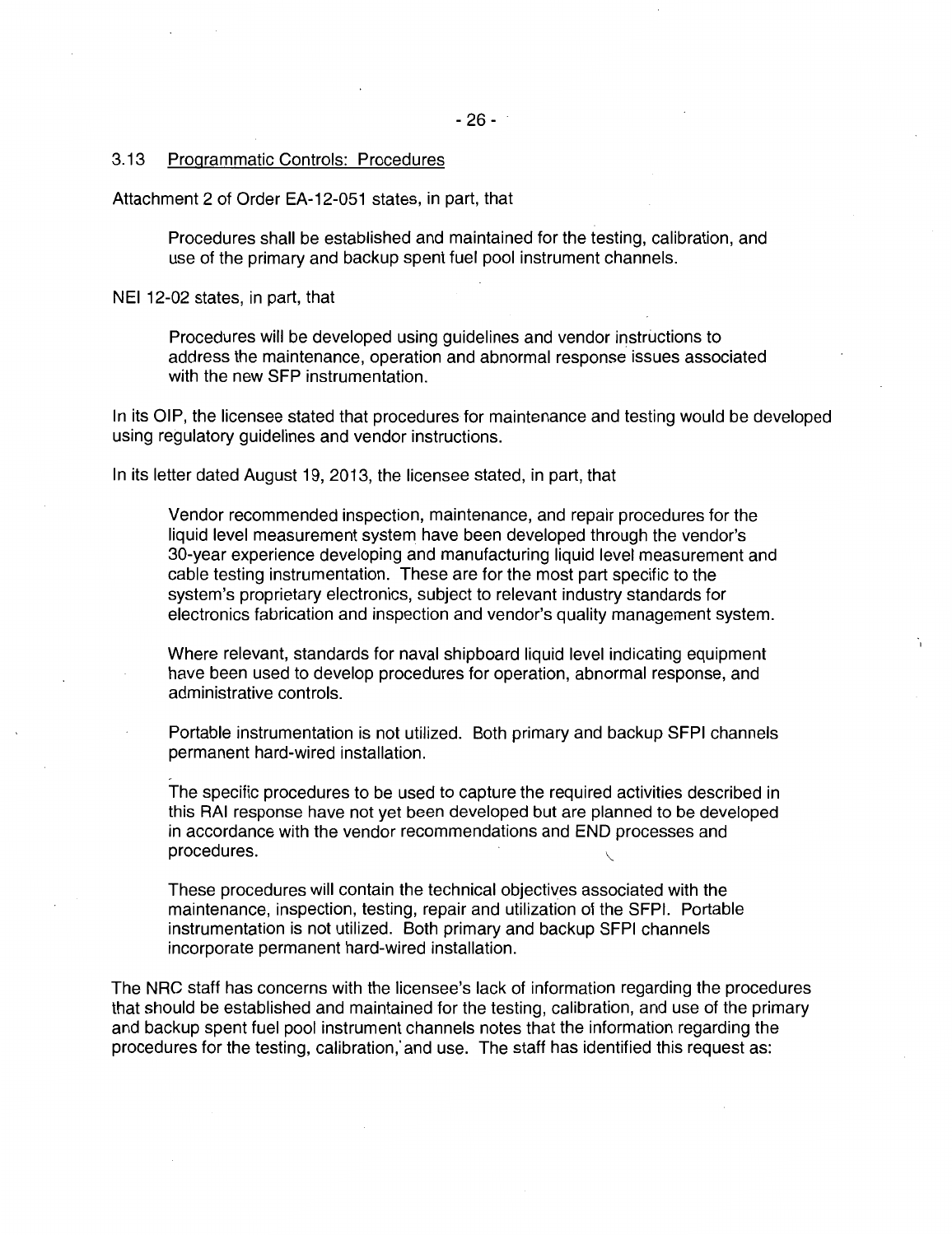## 3.13 Programmatic Controls: Procedures

Attachment 2 of Order EA-12-051 states, in part, that

Procedures shall be established and maintained for the testing, calibration, and use of the primary and backup spent fuel pool instrument channels.

NEI 12-02 states, in part, that

Procedures will be developed using guidelines and vendor instructions to address the maintenance, operation and abnormal response issues associated with the new SFP instrumentation.

In its OIP, the licensee stated that procedures for maintenance and testing would be developed using regulatory guidelines and vendor instructions.

In its letter dated August 19, 2013, the licensee stated, in part, that

Vendor recommended inspection, maintenance, and repair procedures for the liquid level measurement system have been developed through the vendor's 30-year experience developing and manufacturing liquid level measurement and cable testing instrumentation. These are for the most part specific to the system's proprietary electronics, subject to relevant industry standards for electronics fabrication and inspection and vendor's quality management system.

Where relevant, standards for naval shipboard liquid level indicating equipment have been used to develop procedures for operation, abnormal response, and administrative controls.

Portable instrumentation is not utilized. Both primary and backup SFPI channels permanent hard-wired installation.

The specific procedures to be used to capture the required activities described in this RAI response have not yet been developed but are planned to be developed in accordance with the vendor recommendations and END processes and procedures.

These procedures will contain the technical objectives associated with the maintenance, inspection, testing, repair and utilization of the SFPI. Portable instrumentation is not utilized. Both primary and backup SFPI channels incorporate permanent hard-wired installation.

The NRC staff has concerns with the licensee's lack of information regarding the procedures that should be established and maintained for the testing, calibration, and use of the primary and backup spent fuel pool instrument channels notes that the information regarding the procedures for the testing, calibration,· and use. The staff has identified this request as: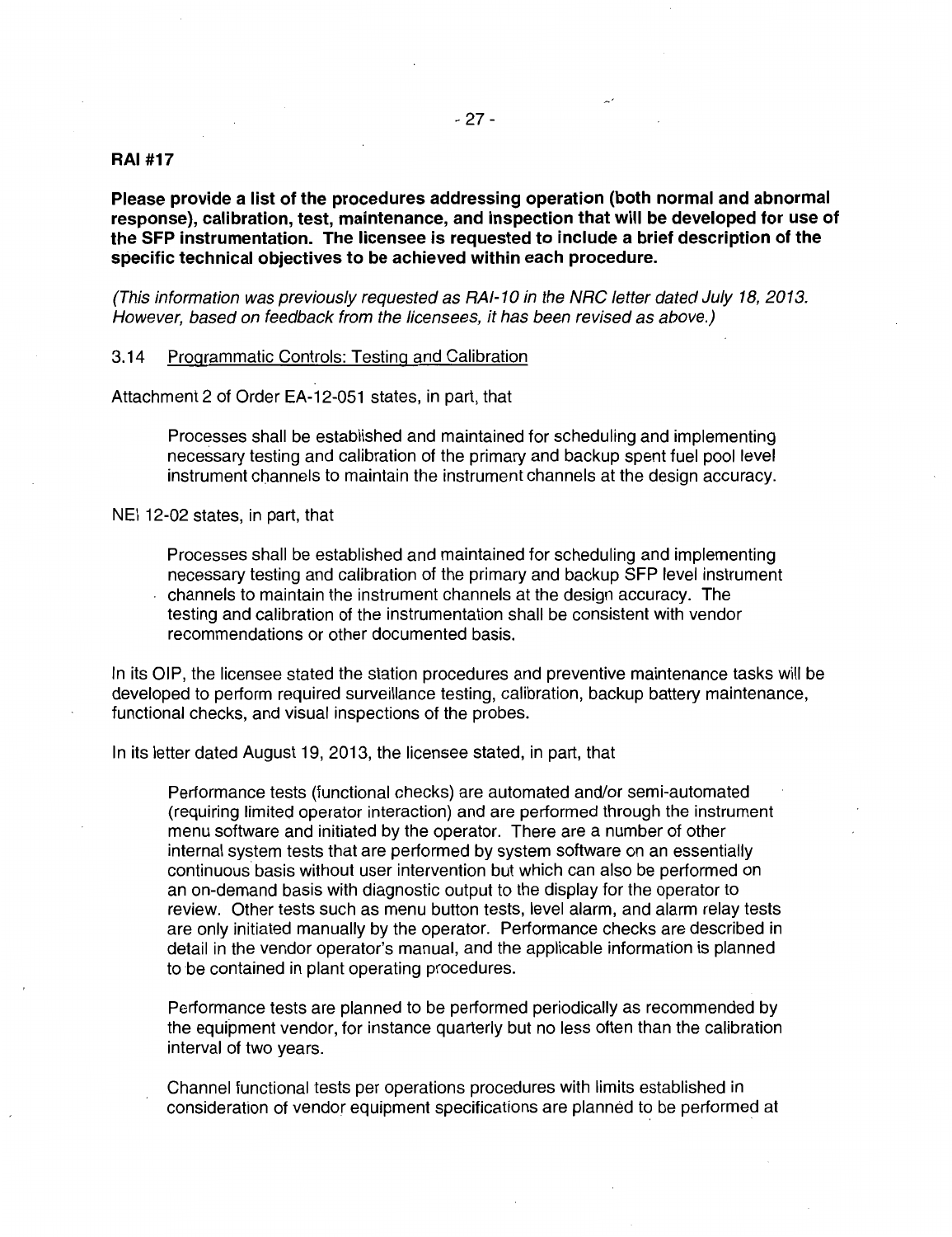## **RAI #17**

**Please provide a list of the procedures addressing operation (both normal and abnormal response), calibration, test, maintenance, and inspection that will be developed for use of the SFP instrumentation. The licensee is requested to include a brief description of the specific technical objectives to be achieved within each procedure.** 

(This information was previously requested as RAI-10 in the NRC letter dated July 18, 2013. However, based on feedback from the licensees, it has been revised as above.)

# 3.14 Programmatic Controls: Testing and Calibration

Attachment 2 of Order EA-12-051 states, in part, that

Processes shall be established and maintained for scheduling and implementing necessary testing and calibration of the primary and backup spent fuel pool level instrument channels to maintain the instrument channels at the design accuracy.

NEI 12-02 states, in part, that

Processes shall be established and maintained for scheduling and implementing necessary testing and calibration of the primary and backup SFP level instrument channels to maintain the instrument channels at the design accuracy. The

testing and calibration of the instrumentation shall be consistent with vendor recommendations or other documented basis.

In its OIP, the licensee stated the station procedures and preventive maintenance tasks will be developed to perform required surveillance testing, calibration, backup battery maintenance, functional checks, and visual inspections of the probes.

In its letter dated August 19, 2013, the licensee stated, in part, that

Performance tests (functional checks) are automated and/or semi-automated (requiring limited operator interaction) and are performed through the instrument menu software and initiated by the operator. There are a number of other internal system tests that are performed by system software on an essentially continuous basis without user intervention but which can also be performed on an on-demand basis with diagnostic output to the display for the operator to review. Other tests such as menu button tests, level alarm, and alarm relay tests are only initiated manually by the operator. Performance checks are described in detail in the vendor operator's manual, and the applicable information is planned to be contained in plant operating procedures.

Performance tests are planned to be performed periodically as recommended by the equipment vendor, for instance quarterly but no less often than the calibration interval of two years.

Channel functional tests per operations procedures with limits established in consideration of vendor equipment specifications are planned to be performed at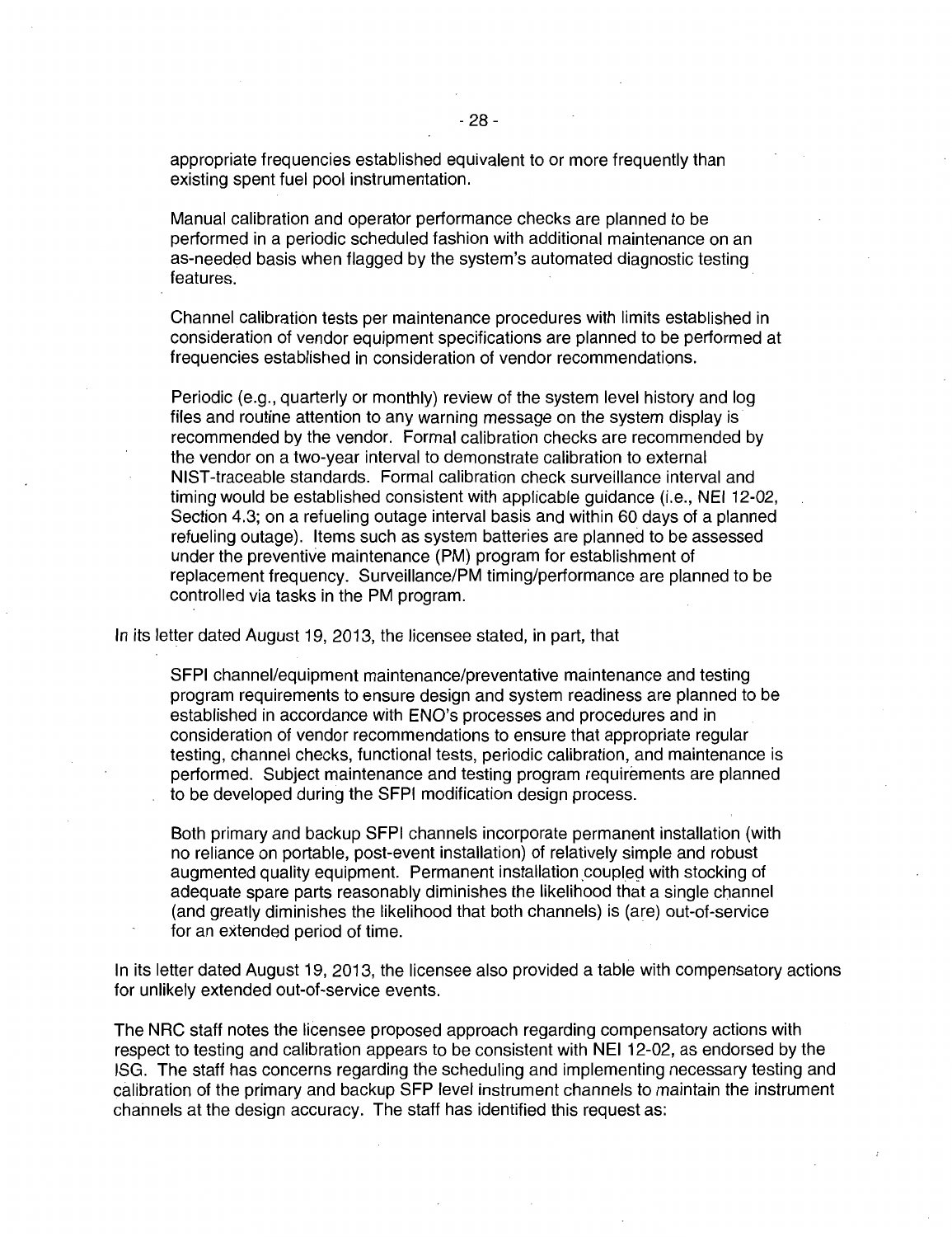appropriate frequencies established equivalent to or more frequently than existing spent fuel pool instrumentation.

Manual calibration and operator performance checks are planned to be performed in a periodic scheduled fashion with additional maintenance on an as-needed basis when flagged by the system's automated diagnostic testing features.

Channel calibration tests per maintenance procedures with limits established in consideration of vendor equipment specifications are planned to be performed at frequencies established in consideration of vendor recommendations.

Periodic (e.g., quarterly or monthly) review of the system level history and log files and routine attention to any warning message on the system display is recommended by the vendor. Formal calibration checks are recommended by the vendor on a two-year interval to demonstrate calibration to external NIST-traceable standards. Formal calibration check surveillance interval and timing would be established consistent with applicable guidance (i.e., NEI 12-02, Section 4.3; on a refueling outage interval basis and within 60 days of a planned refueling outage). Items such as system batteries are planned to be assessed under the preventive maintenance (PM) program for establishment of replacement frequency. Surveillance/PM timing/performance are planned to be controlled via tasks in the PM program.

In its letter dated August 19, 2013, the licensee stated, in part, that

SFPI channel/equipment maintenance/preventative maintenance and testing program requirements to ensure design and system readiness are planned to be established in accordance with ENO's processes and procedures and in consideration of vendor recommendations to ensure that appropriate regular testing, channel checks, functional tests, periodic calibration, and maintenance is performed. Subject maintenance and testing program requirements are planned to be developed during the SFPI modification design process.

Both primary and backup SFPI channels incorporate permanent installation (with no reliance on portable, post-event installation) of relatively simple and robust augmented quality equipment. Permanent installation coupled with stocking of adequate spare parts reasonably diminishes the likelihood that a single channel (and greatly diminishes the likelihood that both channels) is (are) out-of-service for an extended period of time.

In its letter dated August 19, 2013, the licensee also provided a table with compensatory actions for unlikely extended out-of-service events.

The NRC staff notes the licensee proposed approach regarding compensatory actions with respect to testing and calibration appears to be consistent with NEI 12-02, as endorsed by the ISG. The staff has concerns regarding the scheduling and implementing necessary testing and calibration of the primary and backup SFP level instrument channels to maintain the instrument channels at the design accuracy. The staff has identified this request as: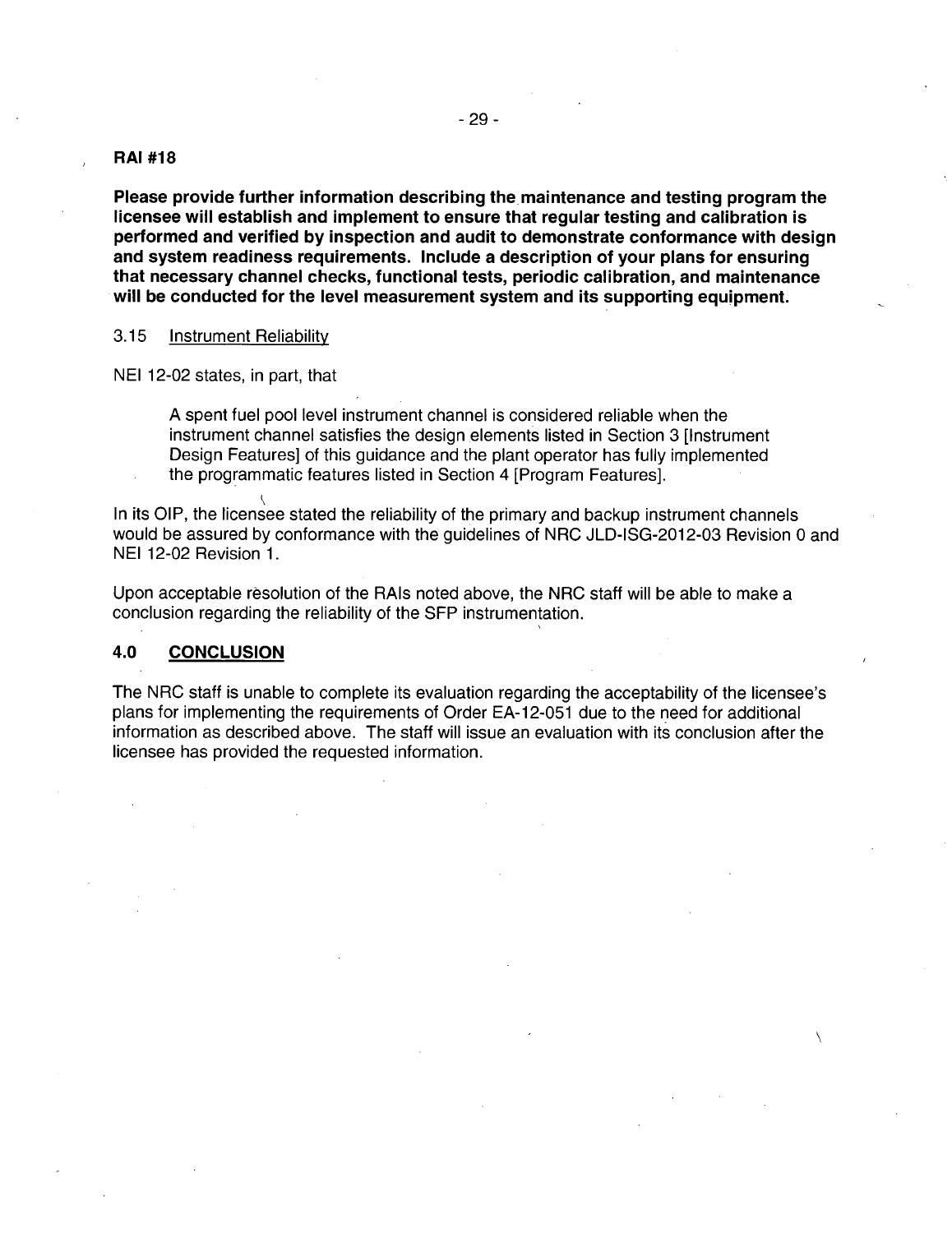## **RAI #18**

**Please provide further information describing the maintenance and testing program the licensee will establish and implement to ensure that regular testing and calibration is performed and verified by inspection and audit to demonstrate conformance with design and system readiness requirements. Include a description of your plans for ensuring that necessary channel checks, functional tests, periodic calibration, and maintenance will be conducted for the level measurement system and its supporting equipment.** 

# 3.15 Instrument Reliability

NEI 12-02 states, in part, that

A spent fuel pool level instrument channel is considered reliable when the instrument channel satisfies the design elements listed in Section 3 [Instrument] Design Features] of this guidance and the plant operator has fully implemented the programmatic features listed in Section 4 [Program Features].

 $\backslash$ In its OIP, the licensee stated the reliability of the primary and backup instrument channels would be assured by conformance with the guidelines of NRC JLD-ISG-2012-03 Revision 0 and NEI 12-02 Revision 1.

Upon acceptable resolution of the RAis noted above, the NRC staff will be able to make a conclusion regarding the reliability of the SFP instrumentation.

# **4.0 CONCLUSION**

The NRC staff is unable to complete its evaluation regarding the acceptability of the licensee's plans for implementing the requirements of Order EA-12-051 due to the need for additional information as described above. The staff will issue an evaluation with its conclusion after the licensee has provided the requested information.